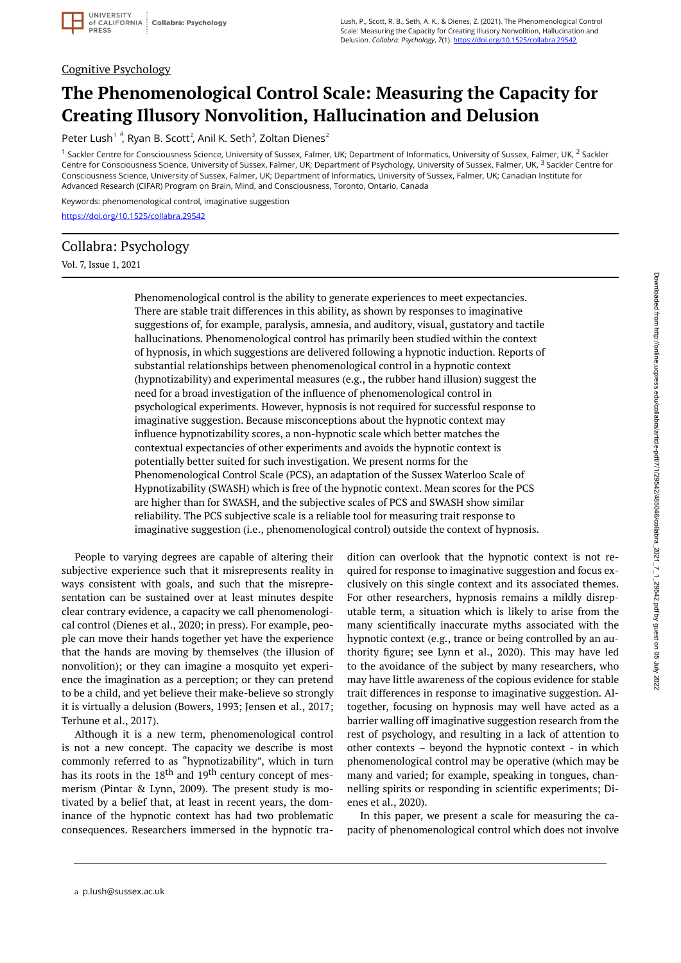

### Cognitive Psychology

# **The Phenomenological Control Scale: Measuring the Capacity for Creating Illusory Nonvolition, Hallucination and Delusion**

Peter Lush<sup>1</sup>, Ryan B. Scott<sup>2</sup>, Anil K. Seth<sup>3</sup>, Zoltan Dienes<sup>2</sup>

<sup>1</sup> Sackler Centre for Consciousness Science, University of Sussex, Falmer, UK; Department of Informatics, University of Sussex, Falmer, UK, <sup>2</sup> Sackler Centre for Consciousness Science, University of Sussex, Falmer, UK; Department of Psychology, University of Sussex, Falmer, UK, <sup>3</sup> Sackler Centre for Consciousness Science, University of Sussex, Falmer, UK; Department of Informatics, University of Sussex, Falmer, UK; Canadian Institute for Advanced Research (CIFAR) Program on Brain, Mind, and Consciousness, Toronto, Ontario, Canada

Keywords: phenomenological control, imaginative suggestion

<https://doi.org/10.1525/collabra.29542>

# Collabra: Psychology

Vol. 7, Issue 1, 2021

Phenomenological control is the ability to generate experiences to meet expectancies. There are stable trait differences in this ability, as shown by responses to imaginative suggestions of, for example, paralysis, amnesia, and auditory, visual, gustatory and tactile hallucinations. Phenomenological control has primarily been studied within the context of hypnosis, in which suggestions are delivered following a hypnotic induction. Reports of substantial relationships between phenomenological control in a hypnotic context (hypnotizability) and experimental measures (e.g., the rubber hand illusion) suggest the need for a broad investigation of the influence of phenomenological control in psychological experiments. However, hypnosis is not required for successful response to imaginative suggestion. Because misconceptions about the hypnotic context may influence hypnotizability scores, a non-hypnotic scale which better matches the contextual expectancies of other experiments and avoids the hypnotic context is potentially better suited for such investigation. We present norms for the Phenomenological Control Scale (PCS), an adaptation of the Sussex Waterloo Scale of Hypnotizability (SWASH) which is free of the hypnotic context. Mean scores for the PCS are higher than for SWASH, and the subjective scales of PCS and SWASH show similar reliability. The PCS subjective scale is a reliable tool for measuring trait response to imaginative suggestion (i.e., phenomenological control) outside the context of hypnosis.

People to varying degrees are capable of altering their subjective experience such that it misrepresents reality in ways consistent with goals, and such that the misrepresentation can be sustained over at least minutes despite clear contrary evidence, a capacity we call phenomenological control (Dienes et al., 2020; in press). For example, people can move their hands together yet have the experience that the hands are moving by themselves (the illusion of nonvolition); or they can imagine a mosquito yet experience the imagination as a perception; or they can pretend to be a child, and yet believe their make-believe so strongly it is virtually a delusion (Bowers, 1993; Jensen et al., 2017; Terhune et al., 2017).

Although it is a new term, phenomenological control is not a new concept. The capacity we describe is most commonly referred to as "hypnotizability", which in turn has its roots in the 18<sup>th</sup> and 19<sup>th</sup> century concept of mesmerism (Pintar & Lynn, 2009). The present study is motivated by a belief that, at least in recent years, the dominance of the hypnotic context has had two problematic consequences. Researchers immersed in the hypnotic tra-

dition can overlook that the hypnotic context is not required for response to imaginative suggestion and focus exclusively on this single context and its associated themes. For other researchers, hypnosis remains a mildly disreputable term, a situation which is likely to arise from the many scientifically inaccurate myths associated with the hypnotic context (e.g., trance or being controlled by an authority figure; see Lynn et al., 2020). This may have led to the avoidance of the subject by many researchers, who may have little awareness of the copious evidence for stable trait differences in response to imaginative suggestion. Altogether, focusing on hypnosis may well have acted as a barrier walling off imaginative suggestion research from the rest of psychology, and resulting in a lack of attention to other contexts – beyond the hypnotic context - in which phenomenological control may be operative (which may be many and varied; for example, speaking in tongues, channelling spirits or responding in scientific experiments; Dienes et al., 2020).

In this paper, we present a scale for measuring the capacity of phenomenological control which does not involve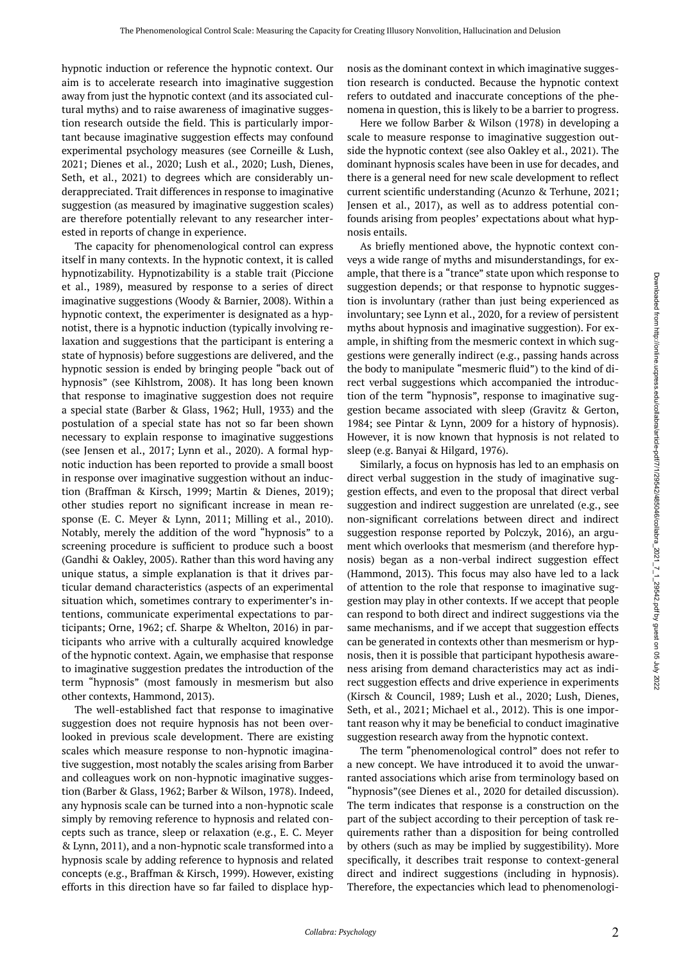hypnotic induction or reference the hypnotic context. Our aim is to accelerate research into imaginative suggestion away from just the hypnotic context (and its associated cultural myths) and to raise awareness of imaginative suggestion research outside the field. This is particularly important because imaginative suggestion effects may confound experimental psychology measures (see Corneille & Lush, 2021; Dienes et al., 2020; Lush et al., 2020; Lush, Dienes, Seth, et al., 2021) to degrees which are considerably underappreciated. Trait differences in response to imaginative suggestion (as measured by imaginative suggestion scales) are therefore potentially relevant to any researcher interested in reports of change in experience.

The capacity for phenomenological control can express itself in many contexts. In the hypnotic context, it is called hypnotizability. Hypnotizability is a stable trait (Piccione et al., 1989), measured by response to a series of direct imaginative suggestions (Woody & Barnier, 2008). Within a hypnotic context, the experimenter is designated as a hypnotist, there is a hypnotic induction (typically involving relaxation and suggestions that the participant is entering a state of hypnosis) before suggestions are delivered, and the hypnotic session is ended by bringing people "back out of hypnosis" (see Kihlstrom, 2008). It has long been known that response to imaginative suggestion does not require a special state (Barber & Glass, 1962; Hull, 1933) and the postulation of a special state has not so far been shown necessary to explain response to imaginative suggestions (see Jensen et al., 2017; Lynn et al., 2020). A formal hypnotic induction has been reported to provide a small boost in response over imaginative suggestion without an induction (Braffman & Kirsch, 1999; Martin & Dienes, 2019); other studies report no significant increase in mean response (E. C. Meyer & Lynn, 2011; Milling et al., 2010). Notably, merely the addition of the word "hypnosis" to a screening procedure is sufficient to produce such a boost (Gandhi & Oakley, 2005). Rather than this word having any unique status, a simple explanation is that it drives particular demand characteristics (aspects of an experimental situation which, sometimes contrary to experimenter's intentions, communicate experimental expectations to participants; Orne, 1962; cf. Sharpe & Whelton, 2016) in participants who arrive with a culturally acquired knowledge of the hypnotic context. Again, we emphasise that response to imaginative suggestion predates the introduction of the term "hypnosis" (most famously in mesmerism but also other contexts, Hammond, 2013).

The well-established fact that response to imaginative suggestion does not require hypnosis has not been overlooked in previous scale development. There are existing scales which measure response to non-hypnotic imaginative suggestion, most notably the scales arising from Barber and colleagues work on non-hypnotic imaginative suggestion (Barber & Glass, 1962; Barber & Wilson, 1978). Indeed, any hypnosis scale can be turned into a non-hypnotic scale simply by removing reference to hypnosis and related concepts such as trance, sleep or relaxation (e.g., E. C. Meyer & Lynn, 2011), and a non-hypnotic scale transformed into a hypnosis scale by adding reference to hypnosis and related concepts (e.g., Braffman & Kirsch, 1999). However, existing efforts in this direction have so far failed to displace hypnosis as the dominant context in which imaginative suggestion research is conducted. Because the hypnotic context refers to outdated and inaccurate conceptions of the phenomena in question, this is likely to be a barrier to progress.

Here we follow Barber & Wilson (1978) in developing a scale to measure response to imaginative suggestion outside the hypnotic context (see also Oakley et al., 2021). The dominant hypnosis scales have been in use for decades, and there is a general need for new scale development to reflect current scientific understanding (Acunzo & Terhune, 2021; Jensen et al., 2017), as well as to address potential confounds arising from peoples' expectations about what hypnosis entails.

As briefly mentioned above, the hypnotic context conveys a wide range of myths and misunderstandings, for example, that there is a "trance" state upon which response to suggestion depends; or that response to hypnotic suggestion is involuntary (rather than just being experienced as involuntary; see Lynn et al., 2020, for a review of persistent myths about hypnosis and imaginative suggestion). For example, in shifting from the mesmeric context in which suggestions were generally indirect (e.g., passing hands across the body to manipulate "mesmeric fluid") to the kind of direct verbal suggestions which accompanied the introduction of the term "hypnosis", response to imaginative suggestion became associated with sleep (Gravitz & Gerton, 1984; see Pintar & Lynn, 2009 for a history of hypnosis). However, it is now known that hypnosis is not related to sleep (e.g. Banyai & Hilgard, 1976).

Similarly, a focus on hypnosis has led to an emphasis on direct verbal suggestion in the study of imaginative suggestion effects, and even to the proposal that direct verbal suggestion and indirect suggestion are unrelated (e.g., see non-significant correlations between direct and indirect suggestion response reported by Polczyk, 2016), an argument which overlooks that mesmerism (and therefore hypnosis) began as a non-verbal indirect suggestion effect (Hammond, 2013). This focus may also have led to a lack of attention to the role that response to imaginative suggestion may play in other contexts. If we accept that people can respond to both direct and indirect suggestions via the same mechanisms, and if we accept that suggestion effects can be generated in contexts other than mesmerism or hypnosis, then it is possible that participant hypothesis awareness arising from demand characteristics may act as indirect suggestion effects and drive experience in experiments (Kirsch & Council, 1989; Lush et al., 2020; Lush, Dienes, Seth, et al., 2021; Michael et al., 2012). This is one important reason why it may be beneficial to conduct imaginative suggestion research away from the hypnotic context.

The term "phenomenological control" does not refer to a new concept. We have introduced it to avoid the unwarranted associations which arise from terminology based on "hypnosis"(see Dienes et al., 2020 for detailed discussion). The term indicates that response is a construction on the part of the subject according to their perception of task requirements rather than a disposition for being controlled by others (such as may be implied by suggestibility). More specifically, it describes trait response to context-general direct and indirect suggestions (including in hypnosis). Therefore, the expectancies which lead to phenomenologi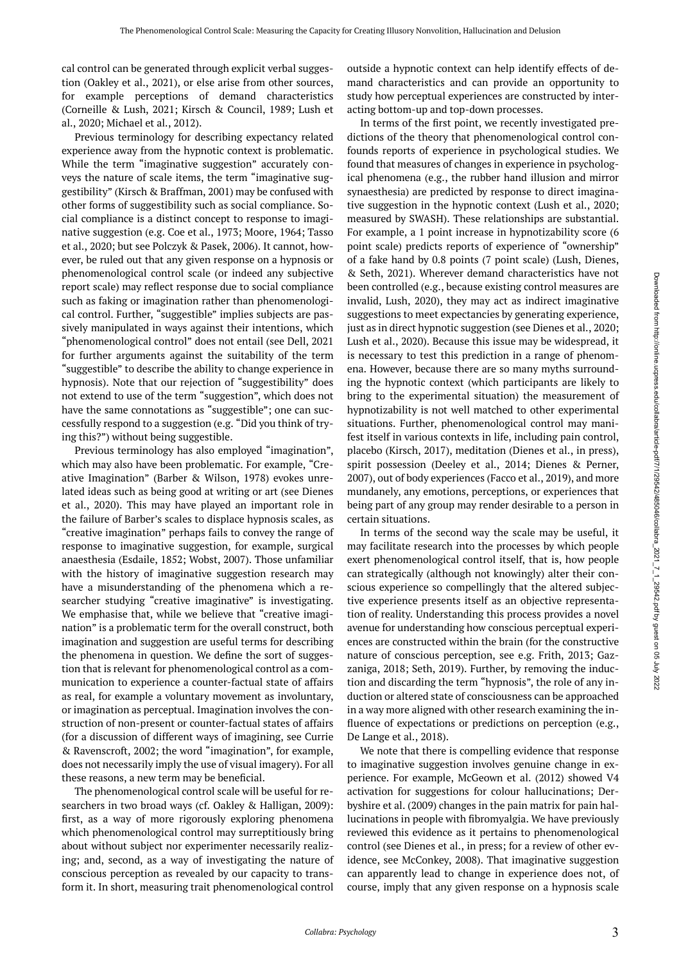cal control can be generated through explicit verbal suggestion (Oakley et al., 2021), or else arise from other sources, for example perceptions of demand characteristics (Corneille & Lush, 2021; Kirsch & Council, 1989; Lush et al., 2020; Michael et al., 2012).

Previous terminology for describing expectancy related experience away from the hypnotic context is problematic. While the term "imaginative suggestion" accurately conveys the nature of scale items, the term "imaginative suggestibility" (Kirsch & Braffman, 2001) may be confused with other forms of suggestibility such as social compliance. Social compliance is a distinct concept to response to imaginative suggestion (e.g. Coe et al., 1973; Moore, 1964; Tasso et al., 2020; but see Polczyk & Pasek, 2006). It cannot, however, be ruled out that any given response on a hypnosis or phenomenological control scale (or indeed any subjective report scale) may reflect response due to social compliance such as faking or imagination rather than phenomenological control. Further, "suggestible" implies subjects are passively manipulated in ways against their intentions, which "phenomenological control" does not entail (see Dell, 2021 for further arguments against the suitability of the term "suggestible" to describe the ability to change experience in hypnosis). Note that our rejection of "suggestibility" does not extend to use of the term "suggestion", which does not have the same connotations as "suggestible"; one can successfully respond to a suggestion (e.g. "Did you think of trying this?") without being suggestible.

Previous terminology has also employed "imagination", which may also have been problematic. For example, "Creative Imagination" (Barber & Wilson, 1978) evokes unrelated ideas such as being good at writing or art (see Dienes et al., 2020). This may have played an important role in the failure of Barber's scales to displace hypnosis scales, as "creative imagination" perhaps fails to convey the range of response to imaginative suggestion, for example, surgical anaesthesia (Esdaile, 1852; Wobst, 2007). Those unfamiliar with the history of imaginative suggestion research may have a misunderstanding of the phenomena which a researcher studying "creative imaginative" is investigating. We emphasise that, while we believe that "creative imagination" is a problematic term for the overall construct, both imagination and suggestion are useful terms for describing the phenomena in question. We define the sort of suggestion that is relevant for phenomenological control as a communication to experience a counter-factual state of affairs as real, for example a voluntary movement as involuntary, or imagination as perceptual. Imagination involves the construction of non-present or counter-factual states of affairs (for a discussion of different ways of imagining, see Currie & Ravenscroft, 2002; the word "imagination", for example, does not necessarily imply the use of visual imagery). For all these reasons, a new term may be beneficial.

The phenomenological control scale will be useful for researchers in two broad ways (cf. Oakley & Halligan, 2009): first, as a way of more rigorously exploring phenomena which phenomenological control may surreptitiously bring about without subject nor experimenter necessarily realizing; and, second, as a way of investigating the nature of conscious perception as revealed by our capacity to transform it. In short, measuring trait phenomenological control

outside a hypnotic context can help identify effects of demand characteristics and can provide an opportunity to study how perceptual experiences are constructed by interacting bottom-up and top-down processes.

In terms of the first point, we recently investigated predictions of the theory that phenomenological control confounds reports of experience in psychological studies. We found that measures of changes in experience in psychological phenomena (e.g., the rubber hand illusion and mirror synaesthesia) are predicted by response to direct imaginative suggestion in the hypnotic context (Lush et al., 2020; measured by SWASH). These relationships are substantial. For example, a 1 point increase in hypnotizability score (6 point scale) predicts reports of experience of "ownership" of a fake hand by 0.8 points (7 point scale) (Lush, Dienes, & Seth, 2021). Wherever demand characteristics have not been controlled (e.g., because existing control measures are invalid, Lush, 2020), they may act as indirect imaginative suggestions to meet expectancies by generating experience, just as in direct hypnotic suggestion (see Dienes et al., 2020; Lush et al., 2020). Because this issue may be widespread, it is necessary to test this prediction in a range of phenomena. However, because there are so many myths surrounding the hypnotic context (which participants are likely to bring to the experimental situation) the measurement of hypnotizability is not well matched to other experimental situations. Further, phenomenological control may manifest itself in various contexts in life, including pain control, placebo (Kirsch, 2017), meditation (Dienes et al., in press), spirit possession (Deeley et al., 2014; Dienes & Perner, 2007), out of body experiences (Facco et al., 2019), and more mundanely, any emotions, perceptions, or experiences that being part of any group may render desirable to a person in certain situations.

In terms of the second way the scale may be useful, it may facilitate research into the processes by which people exert phenomenological control itself, that is, how people can strategically (although not knowingly) alter their conscious experience so compellingly that the altered subjective experience presents itself as an objective representation of reality. Understanding this process provides a novel avenue for understanding how conscious perceptual experiences are constructed within the brain (for the constructive nature of conscious perception, see e.g. Frith, 2013; Gazzaniga, 2018; Seth, 2019). Further, by removing the induction and discarding the term "hypnosis", the role of any induction or altered state of consciousness can be approached in a way more aligned with other research examining the influence of expectations or predictions on perception (e.g., De Lange et al., 2018).

We note that there is compelling evidence that response to imaginative suggestion involves genuine change in experience. For example, McGeown et al. (2012) showed V4 activation for suggestions for colour hallucinations; Derbyshire et al. (2009) changes in the pain matrix for pain hallucinations in people with fibromyalgia. We have previously reviewed this evidence as it pertains to phenomenological control (see Dienes et al., in press; for a review of other evidence, see McConkey, 2008). That imaginative suggestion can apparently lead to change in experience does not, of course, imply that any given response on a hypnosis scale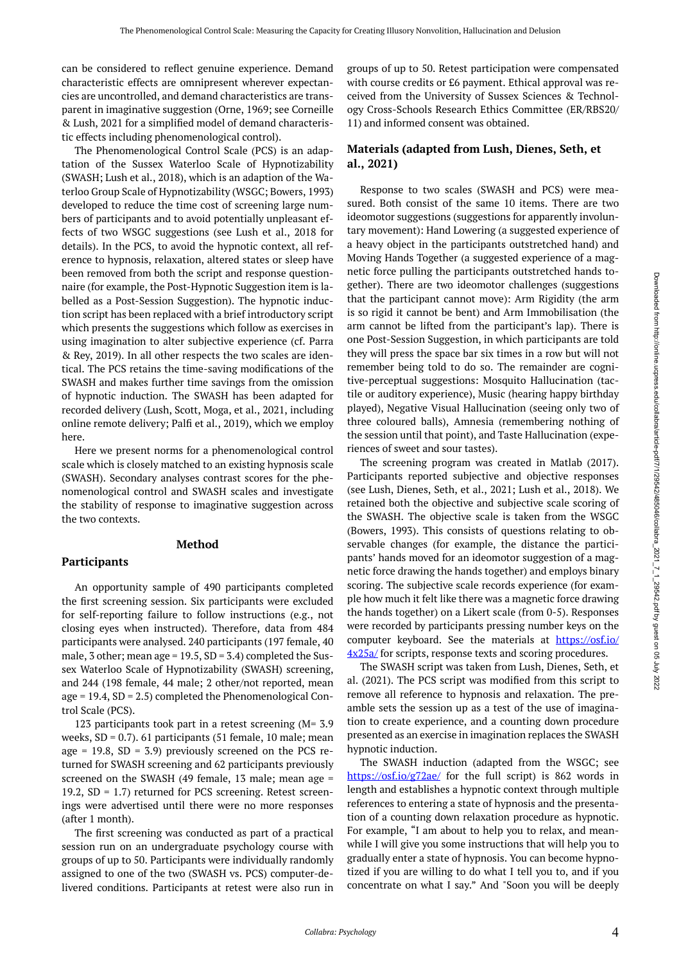can be considered to reflect genuine experience. Demand characteristic effects are omnipresent wherever expectancies are uncontrolled, and demand characteristics are transparent in imaginative suggestion (Orne, 1969; see Corneille & Lush, 2021 for a simplified model of demand characteristic effects including phenomenological control).

The Phenomenological Control Scale (PCS) is an adaptation of the Sussex Waterloo Scale of Hypnotizability (SWASH; Lush et al., 2018), which is an adaption of the Waterloo Group Scale of Hypnotizability (WSGC; Bowers, 1993) developed to reduce the time cost of screening large numbers of participants and to avoid potentially unpleasant effects of two WSGC suggestions (see Lush et al., 2018 for details). In the PCS, to avoid the hypnotic context, all reference to hypnosis, relaxation, altered states or sleep have been removed from both the script and response questionnaire (for example, the Post-Hypnotic Suggestion item is labelled as a Post-Session Suggestion). The hypnotic induction script has been replaced with a brief introductory script which presents the suggestions which follow as exercises in using imagination to alter subjective experience (cf. Parra & Rey, 2019). In all other respects the two scales are identical. The PCS retains the time-saving modifications of the SWASH and makes further time savings from the omission of hypnotic induction. The SWASH has been adapted for recorded delivery (Lush, Scott, Moga, et al., 2021, including online remote delivery; Palfi et al., 2019), which we employ here.

Here we present norms for a phenomenological control scale which is closely matched to an existing hypnosis scale (SWASH). Secondary analyses contrast scores for the phenomenological control and SWASH scales and investigate the stability of response to imaginative suggestion across the two contexts.

### **Method**

### **Participants**

An opportunity sample of 490 participants completed the first screening session. Six participants were excluded for self-reporting failure to follow instructions (e.g., not closing eyes when instructed). Therefore, data from 484 participants were analysed. 240 participants (197 female, 40 male, 3 other; mean age = 19.5, SD = 3.4) completed the Sussex Waterloo Scale of Hypnotizability (SWASH) screening, and 244 (198 female, 44 male; 2 other/not reported, mean age =  $19.4$ , SD =  $2.5$ ) completed the Phenomenological Control Scale (PCS).

123 participants took part in a retest screening (M= 3.9 weeks,  $SD = 0.7$ ). 61 participants (51 female, 10 male; mean age = 19.8,  $SD = 3.9$ ) previously screened on the PCS returned for SWASH screening and 62 participants previously screened on the SWASH (49 female, 13 male; mean age = 19.2, SD = 1.7) returned for PCS screening. Retest screenings were advertised until there were no more responses (after 1 month).

The first screening was conducted as part of a practical session run on an undergraduate psychology course with groups of up to 50. Participants were individually randomly assigned to one of the two (SWASH vs. PCS) computer-delivered conditions. Participants at retest were also run in

groups of up to 50. Retest participation were compensated with course credits or £6 payment. Ethical approval was received from the University of Sussex Sciences & Technology Cross-Schools Research Ethics Committee (ER/RBS20/ 11) and informed consent was obtained.

# **Materials (adapted from Lush, Dienes, Seth, et al., 2021)**

Response to two scales (SWASH and PCS) were measured. Both consist of the same 10 items. There are two ideomotor suggestions (suggestions for apparently involuntary movement): Hand Lowering (a suggested experience of a heavy object in the participants outstretched hand) and Moving Hands Together (a suggested experience of a magnetic force pulling the participants outstretched hands together). There are two ideomotor challenges (suggestions that the participant cannot move): Arm Rigidity (the arm is so rigid it cannot be bent) and Arm Immobilisation (the arm cannot be lifted from the participant's lap). There is one Post-Session Suggestion, in which participants are told they will press the space bar six times in a row but will not remember being told to do so. The remainder are cognitive-perceptual suggestions: Mosquito Hallucination (tactile or auditory experience), Music (hearing happy birthday played), Negative Visual Hallucination (seeing only two of three coloured balls), Amnesia (remembering nothing of the session until that point), and Taste Hallucination (experiences of sweet and sour tastes).

The screening program was created in Matlab (2017). Participants reported subjective and objective responses (see Lush, Dienes, Seth, et al., 2021; Lush et al., 2018). We retained both the objective and subjective scale scoring of the SWASH. The objective scale is taken from the WSGC (Bowers, 1993). This consists of questions relating to observable changes (for example, the distance the participants' hands moved for an ideomotor suggestion of a magnetic force drawing the hands together) and employs binary scoring. The subjective scale records experience (for example how much it felt like there was a magnetic force drawing the hands together) on a Likert scale (from 0-5). Responses were recorded by participants pressing number keys on the computer keyboard. See the materials at [https://osf.io/](https://osf.io/4x25a/)  $4x25a$  for scripts, response texts and scoring procedures.

The SWASH script was taken from Lush, Dienes, Seth, et al. (2021). The PCS script was modified from this script to remove all reference to hypnosis and relaxation. The preamble sets the session up as a test of the use of imagination to create experience, and a counting down procedure presented as an exercise in imagination replaces the SWASH hypnotic induction.

The SWASH induction (adapted from the WSGC; see <https://osf.io/g72ae/> for the full script) is 862 words in length and establishes a hypnotic context through multiple references to entering a state of hypnosis and the presentation of a counting down relaxation procedure as hypnotic. For example, "I am about to help you to relax, and meanwhile I will give you some instructions that will help you to gradually enter a state of hypnosis. You can become hypnotized if you are willing to do what I tell you to, and if you concentrate on what I say." And "Soon you will be deeply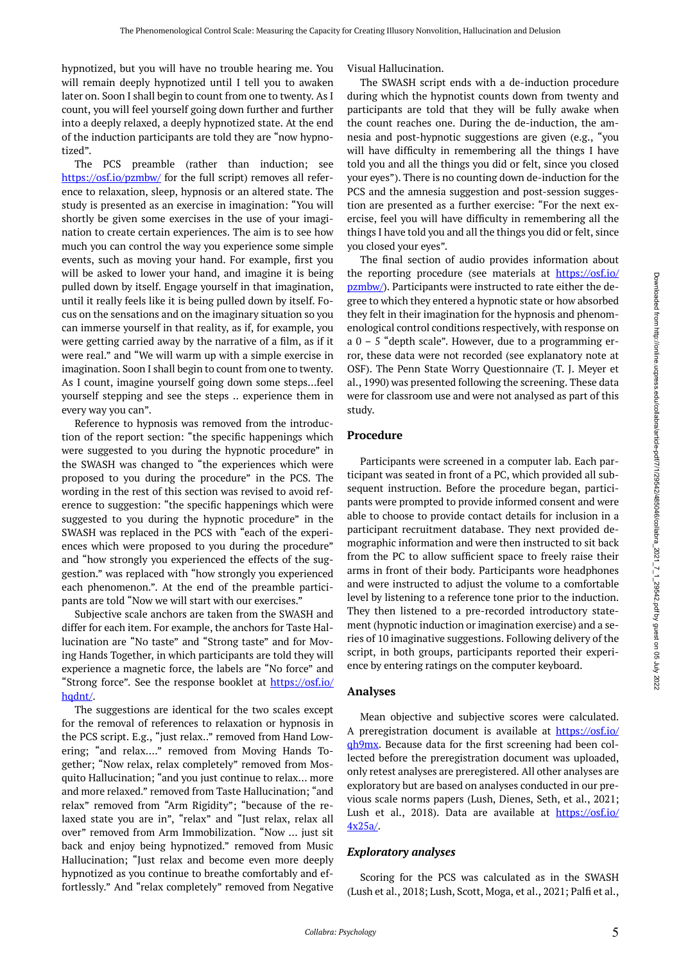hypnotized, but you will have no trouble hearing me. You will remain deeply hypnotized until I tell you to awaken later on. Soon I shall begin to count from one to twenty. As I count, you will feel yourself going down further and further into a deeply relaxed, a deeply hypnotized state. At the end of the induction participants are told they are "now hypnotized".

The PCS preamble (rather than induction; see <https://osf.io/pzmbw/> for the full script) removes all reference to relaxation, sleep, hypnosis or an altered state. The study is presented as an exercise in imagination: "You will shortly be given some exercises in the use of your imagination to create certain experiences. The aim is to see how much you can control the way you experience some simple events, such as moving your hand. For example, first you will be asked to lower your hand, and imagine it is being pulled down by itself. Engage yourself in that imagination, until it really feels like it is being pulled down by itself. Focus on the sensations and on the imaginary situation so you can immerse yourself in that reality, as if, for example, you were getting carried away by the narrative of a film, as if it were real." and "We will warm up with a simple exercise in imagination. Soon I shall begin to count from one to twenty. As I count, imagine yourself going down some steps…feel yourself stepping and see the steps .. experience them in every way you can".

Reference to hypnosis was removed from the introduction of the report section: "the specific happenings which were suggested to you during the hypnotic procedure" in the SWASH was changed to "the experiences which were proposed to you during the procedure" in the PCS. The wording in the rest of this section was revised to avoid reference to suggestion: "the specific happenings which were suggested to you during the hypnotic procedure" in the SWASH was replaced in the PCS with "each of the experiences which were proposed to you during the procedure" and "how strongly you experienced the effects of the suggestion." was replaced with "how strongly you experienced each phenomenon.". At the end of the preamble participants are told "Now we will start with our exercises."

Subjective scale anchors are taken from the SWASH and differ for each item. For example, the anchors for Taste Hallucination are "No taste" and "Strong taste" and for Moving Hands Together, in which participants are told they will experience a magnetic force, the labels are "No force" and "Strong force". See the response booklet at [https://osf.io/](https://osf.io/hqdnt/) [hqdnt/.](https://osf.io/hqdnt/)

The suggestions are identical for the two scales except for the removal of references to relaxation or hypnosis in the PCS script. E.g., "just relax.." removed from Hand Lowering; "and relax…." removed from Moving Hands Together; "Now relax, relax completely" removed from Mosquito Hallucination; "and you just continue to relax… more and more relaxed." removed from Taste Hallucination; "and relax" removed from "Arm Rigidity"; "because of the relaxed state you are in", "relax" and "Just relax, relax all over" removed from Arm Immobilization. "Now … just sit back and enjoy being hypnotized." removed from Music Hallucination; "Just relax and become even more deeply hypnotized as you continue to breathe comfortably and effortlessly." And "relax completely" removed from Negative

Visual Hallucination.

The SWASH script ends with a de-induction procedure during which the hypnotist counts down from twenty and participants are told that they will be fully awake when the count reaches one. During the de-induction, the amnesia and post-hypnotic suggestions are given (e.g., "you will have difficulty in remembering all the things I have told you and all the things you did or felt, since you closed your eyes"). There is no counting down de-induction for the PCS and the amnesia suggestion and post-session suggestion are presented as a further exercise: "For the next exercise, feel you will have difficulty in remembering all the things I have told you and all the things you did or felt, since you closed your eyes".

The final section of audio provides information about the reporting procedure (see materials at [https://osf.io/](https://osf.io/pzmbw/) [pzmbw/](https://osf.io/pzmbw/)). Participants were instructed to rate either the degree to which they entered a hypnotic state or how absorbed they felt in their imagination for the hypnosis and phenomenological control conditions respectively, with response on a  $0 - 5$  "depth scale". However, due to a programming error, these data were not recorded (see explanatory note at OSF). The Penn State Worry Questionnaire (T. J. Meyer et al., 1990) was presented following the screening. These data were for classroom use and were not analysed as part of this study.

### **Procedure**

Participants were screened in a computer lab. Each participant was seated in front of a PC, which provided all subsequent instruction. Before the procedure began, participants were prompted to provide informed consent and were able to choose to provide contact details for inclusion in a participant recruitment database. They next provided demographic information and were then instructed to sit back from the PC to allow sufficient space to freely raise their arms in front of their body. Participants wore headphones and were instructed to adjust the volume to a comfortable level by listening to a reference tone prior to the induction. They then listened to a pre-recorded introductory statement (hypnotic induction or imagination exercise) and a series of 10 imaginative suggestions. Following delivery of the script, in both groups, participants reported their experience by entering ratings on the computer keyboard.

### **Analyses**

Mean objective and subjective scores were calculated. A preregistration document is available at [https://osf.io/](https://osf.io/qh9mx) [qh9mx](https://osf.io/qh9mx). Because data for the first screening had been collected before the preregistration document was uploaded, only retest analyses are preregistered. All other analyses are exploratory but are based on analyses conducted in our previous scale norms papers (Lush, Dienes, Seth, et al., 2021; Lush et al., 2018). Data are available at [https://osf.io/](https://osf.io/4x25a/) [4x25a/](https://osf.io/4x25a/).

### *Exploratory analyses*

Scoring for the PCS was calculated as in the SWASH (Lush et al., 2018; Lush, Scott, Moga, et al., 2021; Palfi et al.,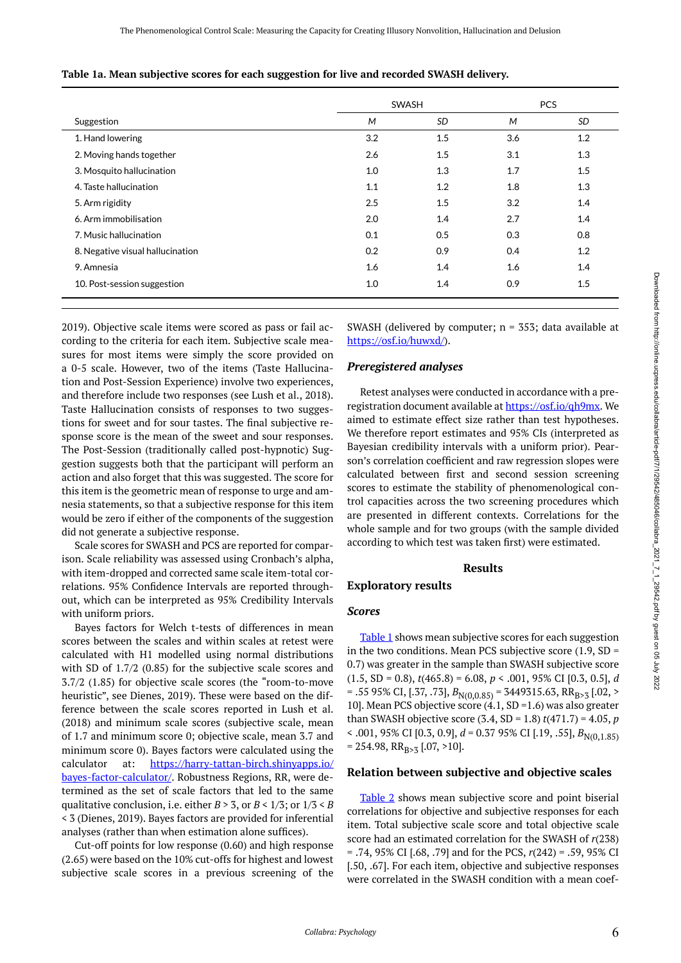<span id="page-5-0"></span>

|  |  |  | Table 1a. Mean subjective scores for each suggestion for live and recorded SWASH delivery. |  |  |  |
|--|--|--|--------------------------------------------------------------------------------------------|--|--|--|
|  |  |  |                                                                                            |  |  |  |

|                                  |     | SWASH     |     | <b>PCS</b> |
|----------------------------------|-----|-----------|-----|------------|
| Suggestion                       | M   | <b>SD</b> | M   | SD         |
| 1. Hand lowering                 | 3.2 | 1.5       | 3.6 | 1.2        |
| 2. Moving hands together         | 2.6 | 1.5       | 3.1 | 1.3        |
| 3. Mosquito hallucination        | 1.0 | 1.3       | 1.7 | 1.5        |
| 4. Taste hallucination           | 1.1 | 1.2       | 1.8 | 1.3        |
| 5. Arm rigidity                  | 2.5 | 1.5       | 3.2 | 1.4        |
| 6. Arm immobilisation            | 2.0 | 1.4       | 2.7 | 1.4        |
| 7. Music hallucination           | 0.1 | 0.5       | 0.3 | 0.8        |
| 8. Negative visual hallucination | 0.2 | 0.9       | 0.4 | 1.2        |
| 9. Amnesia                       | 1.6 | 1.4       | 1.6 | 1.4        |
| 10. Post-session suggestion      | 1.0 | 1.4       | 0.9 | 1.5        |

Downloaded from http://online.ucpress.edu/collabra/article-pdf/7/1/29542/485046/collabra\_2021\_7\_1\_29542.pdf by guest on 05 July 2022 Downloaded from http://online.ucpress.edu/collabra/article-pdf/7/1/29542/485046/collabra\_2021\_1\_2/29542.pdf by guest on 05 July 2022

2019). Objective scale items were scored as pass or fail according to the criteria for each item. Subjective scale measures for most items were simply the score provided on a 0-5 scale. However, two of the items (Taste Hallucination and Post-Session Experience) involve two experiences, and therefore include two responses (see Lush et al., 2018). Taste Hallucination consists of responses to two suggestions for sweet and for sour tastes. The final subjective response score is the mean of the sweet and sour responses. The Post-Session (traditionally called post-hypnotic) Suggestion suggests both that the participant will perform an action and also forget that this was suggested. The score for this item is the geometric mean of response to urge and amnesia statements, so that a subjective response for this item would be zero if either of the components of the suggestion did not generate a subjective response.

Scale scores for SWASH and PCS are reported for comparison. Scale reliability was assessed using Cronbach's alpha, with item-dropped and corrected same scale item-total correlations. 95% Confidence Intervals are reported throughout, which can be interpreted as 95% Credibility Intervals with uniform priors.

Bayes factors for Welch t-tests of differences in mean scores between the scales and within scales at retest were calculated with H1 modelled using normal distributions with SD of 1.7/2 (0.85) for the subjective scale scores and 3.7/2 (1.85) for objective scale scores (the "room-to-move heuristic", see Dienes, 2019). These were based on the difference between the scale scores reported in Lush et al. (2018) and minimum scale scores (subjective scale, mean of 1.7 and minimum score 0; objective scale, mean 3.7 and minimum score 0). Bayes factors were calculated using the calculator at: [https://harry-tattan-birch.shinyapps.io/](https://harry-tattan-birch.shinyapps.io/bayes-factor-calculator/) [bayes-factor-calculator/](https://harry-tattan-birch.shinyapps.io/bayes-factor-calculator/). Robustness Regions, RR, were determined as the set of scale factors that led to the same qualitative conclusion, i.e. either  $B > 3$ , or  $B < 1/3$ ; or  $1/3 < B$ < 3 (Dienes, 2019). Bayes factors are provided for inferential analyses (rather than when estimation alone suffices).

Cut-off points for low response (0.60) and high response (2.65) were based on the 10% cut-offs for highest and lowest subjective scale scores in a previous screening of the SWASH (delivered by computer;  $n = 353$ ; data available at [https://osf.io/huwxd/\)](https://osf.io/huwxd/).

### *Preregistered analyses*

Retest analyses were conducted in accordance with a preregistration document available at [https://osf.io/qh9mx.](https://osf.io/qh9mx) We aimed to estimate effect size rather than test hypotheses. We therefore report estimates and 95% CIs (interpreted as Bayesian credibility intervals with a uniform prior). Pearson's correlation coefficient and raw regression slopes were calculated between first and second session screening scores to estimate the stability of phenomenological control capacities across the two screening procedures which are presented in different contexts. Correlations for the whole sample and for two groups (with the sample divided according to which test was taken first) were estimated.

#### **Results**

### **Exploratory results**

### *Scores*

[Table 1](#page-5-0) shows mean subjective scores for each suggestion in the two conditions. Mean PCS subjective score  $(1.9, SD =$ 0.7) was greater in the sample than SWASH subjective score (1.5, SD = 0.8), *t*(465.8) = 6.08, *p* < .001, 95% CI [0.3, 0.5], *d*   $=$  .55 95% CI, [.37, .73],  $B_{N(0,0.85)} = 3449315.63$ , RR<sub>B>3</sub> [.02, > 10]. Mean PCS objective score  $(4.1, SD = 1.6)$  was also greater than SWASH objective score (3.4, SD = 1.8) *t*(471.7) = 4.05, *p*   $\leq$  .001, 95% CI [0.3, 0.9],  $d = 0.37$  95% CI [.19, .55],  $B_{N(0.1.85)}$  $= 254.98$ , RR<sub>B>3</sub> [.07, >10].

### **Relation between subjective and objective scales**

[Table 2](#page-6-0) shows mean subjective score and point biserial correlations for objective and subjective responses for each item. Total subjective scale score and total objective scale score had an estimated correlation for the SWASH of *r*(238) = .74, 95% CI [.68, .79] and for the PCS, *r*(242) = .59, 95% CI [.50, .67]. For each item, objective and subjective responses were correlated in the SWASH condition with a mean coef-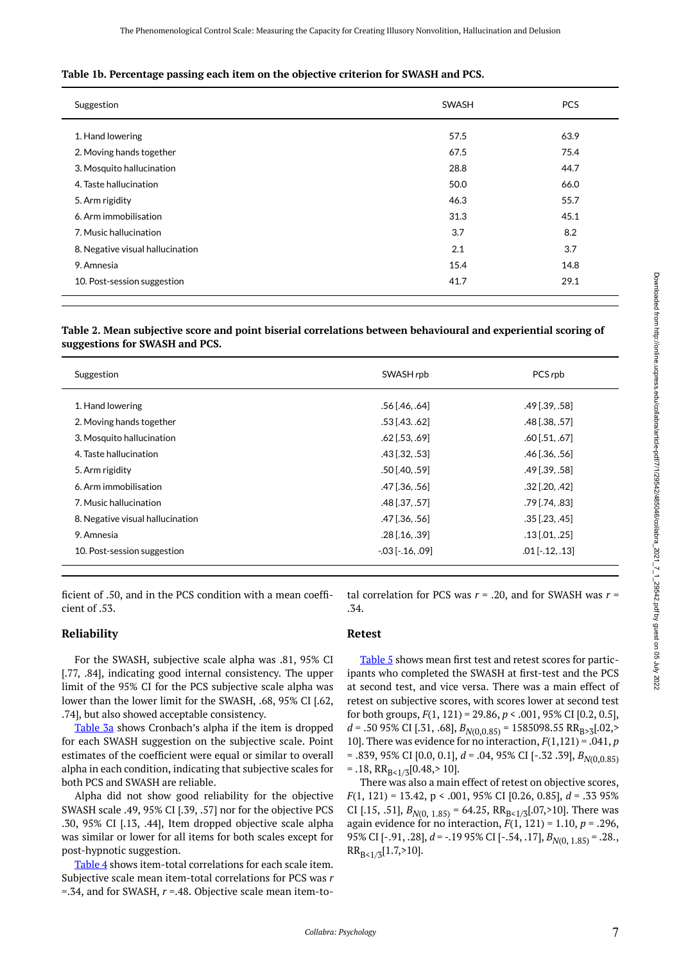#### **Table 1b. Percentage passing each item on the objective criterion for SWASH and PCS.**

| Suggestion                                                                                                                                                                | <b>SWASH</b>                                        | <b>PCS</b>                                          |
|---------------------------------------------------------------------------------------------------------------------------------------------------------------------------|-----------------------------------------------------|-----------------------------------------------------|
| 1. Hand lowering<br>2. Moving hands together<br>3. Mosquito hallucination<br>4. Taste hallucination<br>5. Arm rigidity<br>6. Arm immobilisation<br>7. Music hallucination | 57.5<br>67.5<br>28.8<br>50.0<br>46.3<br>31.3<br>3.7 | 63.9<br>75.4<br>44.7<br>66.0<br>55.7<br>45.1<br>8.2 |
| 8. Negative visual hallucination<br>9. Amnesia                                                                                                                            | 2.1<br>15.4<br>41.7                                 | 3.7<br>14.8<br>29.1                                 |
| 10. Post-session suggestion                                                                                                                                               |                                                     |                                                     |

<span id="page-6-0"></span>**Table 2. Mean subjective score and point biserial correlations between behavioural and experiential scoring of suggestions for SWASH and PCS.** 

| Suggestion                       | SWASH rpb               | PCS rpb                 |
|----------------------------------|-------------------------|-------------------------|
| 1. Hand lowering                 | .56 [.46. .64]          | $.49$ [.39, .58]        |
| 2. Moving hands together         | $.53$ [.43. .62]        | .48 [.38, .57]          |
| 3. Mosquito hallucination        | $.62$ [.53, .69]        | $.60$ [ $.51, .67$ ]    |
| 4. Taste hallucination           | $.43$ [ $.32$ , $.53$ ] | $.46$ [ $.36$ , $.56$ ] |
| 5. Arm rigidity                  | $.50$ [.40, .59]        | $.49$ [.39, .58]        |
| 6. Arm immobilisation            | .47 [.36, .56]          | $.32$ [.20, .42]        |
| 7. Music hallucination           | .48 [.3757]             | .79 [.74, .83]          |
| 8. Negative visual hallucination | .47 [.36, .56]          | $.35$ [.23, .45]        |
| 9. Amnesia                       | $.28$ [.16, .39]        | $.13$ [.01, .25]        |
| 10. Post-session suggestion      | $-.03$ [ $-.16, .09$ ]  | $.01$ [ $-.12, .13$ ]   |

ficient of .50, and in the PCS condition with a mean coefficient of .53.

### **Reliability**

For the SWASH, subjective scale alpha was .81, 95% CI [.77, .84], indicating good internal consistency. The upper limit of the 95% CI for the PCS subjective scale alpha was lower than the lower limit for the SWASH, .68, 95% CI [.62, .74], but also showed acceptable consistency.

[Table 3a](#page-7-0) shows Cronbach's alpha if the item is dropped for each SWASH suggestion on the subjective scale. Point estimates of the coefficient were equal or similar to overall alpha in each condition, indicating that subjective scales for both PCS and SWASH are reliable.

Alpha did not show good reliability for the objective SWASH scale .49, 95% CI [.39, .57] nor for the objective PCS .30, 95% CI [.13, .44], Item dropped objective scale alpha was similar or lower for all items for both scales except for post-hypnotic suggestion.

[Table 4](#page-7-1) shows item-total correlations for each scale item. Subjective scale mean item-total correlations for PCS was *r*  =.34, and for SWASH, *r* =.48. Objective scale mean item-total correlation for PCS was  $r = .20$ , and for SWASH was  $r =$ .34.

### **Retest**

[Table 5](#page-8-0) shows mean first test and retest scores for participants who completed the SWASH at first-test and the PCS at second test, and vice versa. There was a main effect of retest on subjective scores, with scores lower at second test for both groups, *F*(1, 121) = 29.86, *p* < .001, 95% CI [0.2, 0.5], *d* = .50 95% CI [.31, .68],  $B_{N(0,0.85)}$  = 1585098.55 RR<sub>B>3</sub>[.02,> 10]. There was evidence for no interaction, *F*(1,121) = .041, *p*  = .839, 95% CI [0.0, 0.1], *d* = .04, 95% CI [-.32 .39], *BN*(0,0.85)  $= .18$ , RR<sub>B s 1/3</sub>[0.48, > 10].

There was also a main effect of retest on objective scores, *F*(1, 121) = 13.42, p < .001, 95% CI [0.26, 0.85], *d* = .33 95% CI [.15, .51],  $B_{N(0, 1.85)} = 64.25$ ,  $RR_{B<1/3}[.07, >10]$ . There was again evidence for no interaction, *F*(1, 121) = 1.10, *p* = .296, 95% CI [-.91, .28], *d* = -.19 95% CI [-.54, .17], *BN*(0, 1.85) = .28.,  $RR_{B<1/3}[1.7, >10]$ .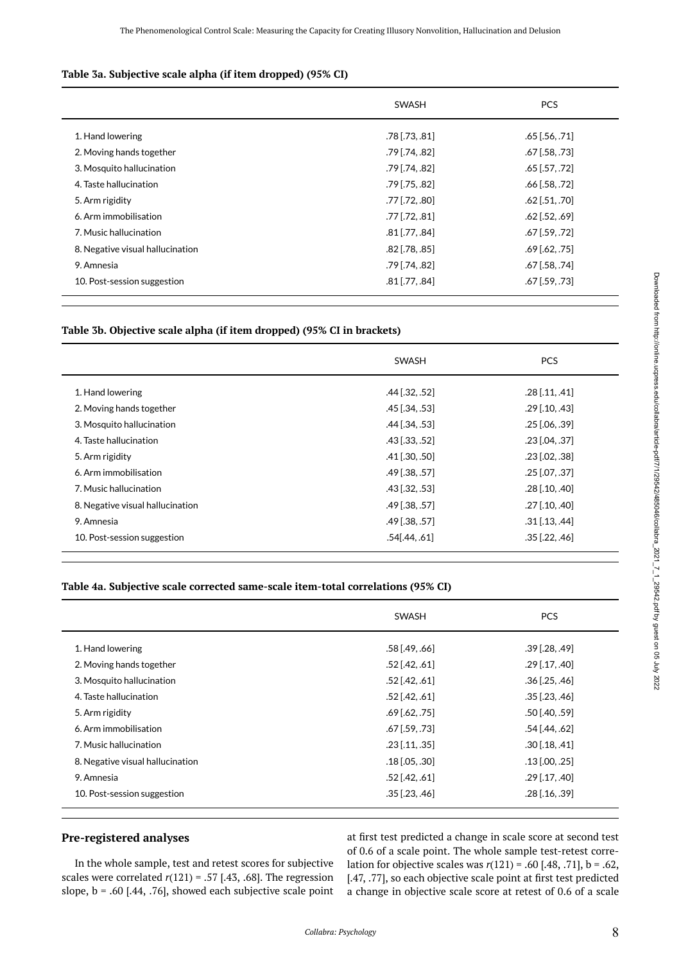# <span id="page-7-0"></span>**Table 3a. Subjective scale alpha (if item dropped) (95% CI)**

|                                  | <b>SWASH</b>     | <b>PCS</b>       |
|----------------------------------|------------------|------------------|
| 1. Hand lowering                 | $.78$ [.73, .81] | $.65$ [.56, .71] |
| 2. Moving hands together         | $.79$ [.74, .82] | $.67$ [.58, .73] |
| 3. Mosquito hallucination        | $.79$ [.74, .82] | $.65$ [.57, .72] |
| 4. Taste hallucination           | $.79$ [.75, .82] | $.66$ [.58, .72] |
| 5. Arm rigidity                  | $.77$ [.72, .80] | $.62$ [.51, .70] |
| 6. Arm immobilisation            | $.77$ [.72, .81] | $.62$ [.52, .69] |
| 7. Music hallucination           | $.81$ [.77, .84] | $.67$ [.59, .72] |
| 8. Negative visual hallucination | $.82$ [.78, .85] | $.69$ [.62, .75] |
| 9. Amnesia                       | .79 [.74, .82]   | .67 [.58, .74]   |
| 10. Post-session suggestion      | $.81$ [.77, .84] | $.67$ [.59, .73] |

# **Table 3b. Objective scale alpha (if item dropped) (95% CI in brackets)**

|                                  | SWASH                   | <b>PCS</b>       |
|----------------------------------|-------------------------|------------------|
| 1. Hand lowering                 | $.44$ [.32, .52]        | $.28$ [.11, .41] |
| 2. Moving hands together         | $.45$ [.34, .53]        | $.29$ [.10, .43] |
| 3. Mosquito hallucination        | $.44$ [.34, .53]        | $.25$ [.06, .39] |
| 4. Taste hallucination           | $.43$ [ $.33$ , $.52$ ] | .23 [.04, .37]   |
| 5. Arm rigidity                  | $.41$ [.30, .50]        | $.23$ [.02, .38] |
| 6. Arm immobilisation            | .49 [.38, .57]          | $.25$ [.07, .37] |
| 7. Music hallucination           | $.43$ [ $.32$ , $.53$ ] | $.28$ [.10, .40] |
| 8. Negative visual hallucination | $.49$ [.38, .57]        | $.27$ [.10, .40] |
| 9. Amnesia                       | $.49$ [.38, .57]        | $.31$ [.13, .44] |
| 10. Post-session suggestion      | $.54$ [.44, .61]        | $.35$ [.22, .46] |

# <span id="page-7-1"></span>**Table 4a. Subjective scale corrected same-scale item-total correlations (95% CI)**

|                                  | SWASH            | <b>PCS</b>       |
|----------------------------------|------------------|------------------|
| 1. Hand lowering                 | $.58$ [.49, .66] | $.39$ [.28, .49] |
| 2. Moving hands together         | $.52$ [.42, .61] | $.29$ [.17, .40] |
| 3. Mosquito hallucination        | $.52$ [.42, .61] | $.36$ [.25, .46] |
| 4. Taste hallucination           | $.52$ [.42, .61] | $.35$ [.23, .46] |
| 5. Arm rigidity                  | $.69$ [.62, .75] | $.50$ [.40, .59] |
| 6. Arm immobilisation            | $.67$ [.59, .73] | $.54$ [.44, .62] |
| 7. Music hallucination           | $.23$ [.11, .35] | $.30$ [.18, .41] |
| 8. Negative visual hallucination | $.18$ [.05, .30] | $.13$ [.00, .25] |
| 9. Amnesia                       | $.52$ [.42, .61] | $.29$ [.17, .40] |
| 10. Post-session suggestion      | $.35$ [.23, .46] | $.28$ [.16, .39] |

# **Pre-registered analyses**

In the whole sample, test and retest scores for subjective scales were correlated  $r(121) = .57$  [.43, .68]. The regression slope,  $b = .60$  [.44, .76], showed each subjective scale point at first test predicted a change in scale score at second test of 0.6 of a scale point. The whole sample test-retest correlation for objective scales was *r*(121) = .60 [.48, .71], b = .62, [.47, .77], so each objective scale point at first test predicted a change in objective scale score at retest of 0.6 of a scale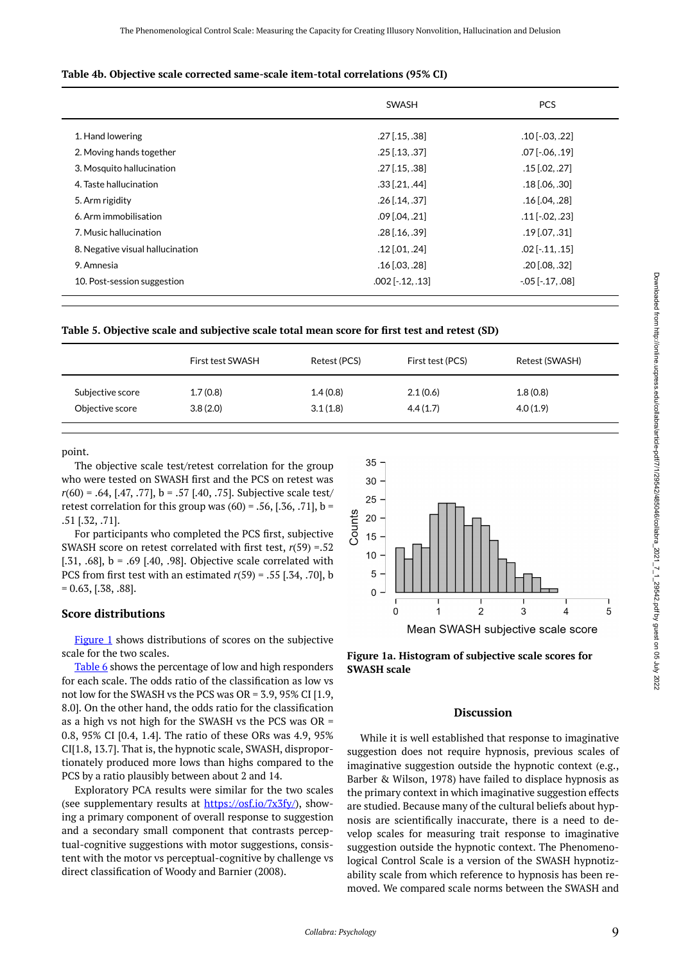#### **Table 4b. Objective scale corrected same-scale item-total correlations (95% CI)**

|                                  | <b>SWASH</b>           | <b>PCS</b>            |
|----------------------------------|------------------------|-----------------------|
| 1. Hand lowering                 | $.27$ [.15, .38]       | $.10$ [ $-.03, .22$ ] |
| 2. Moving hands together         | $.25$ [.13, .37]       | $.07$ [ $-.06, .19$ ] |
| 3. Mosquito hallucination        | $.27$ [.15, .38]       | $.15$ [.02, .27]      |
| 4. Taste hallucination           | $.33$ [.21, .44]       | $.18$ [.06, .30]      |
| 5. Arm rigidity                  | $.26$ [.14, .37]       | $.16$ [.04, .28]      |
| 6. Arm immobilisation            | $.09$ [.04, .21]       | $.11$ [ $-.02, .23$ ] |
| 7. Music hallucination           | $.28$ [.16, .39]       | $.19$ [.07, .31]      |
| 8. Negative visual hallucination | $.12$ [.01, .24]       | $.02$ [ $-.11, .15$ ] |
| 9. Amnesia                       | $.16$ [.03, .28]       | $.20$ [.08, .32]      |
| 10. Post-session suggestion      | $.002$ [ $-.12, .13$ ] | $-05$ $[-17, 08]$     |

<span id="page-8-0"></span>

| Table 5. Objective scale and subjective scale total mean score for first test and retest (SD) |  |
|-----------------------------------------------------------------------------------------------|--|
|-----------------------------------------------------------------------------------------------|--|

|                  | First test SWASH | Retest (PCS) | First test (PCS) | Retest (SWASH) |
|------------------|------------------|--------------|------------------|----------------|
| Subjective score | 1.7(0.8)         | 1.4(0.8)     | 2.1(0.6)         | 1.8(0.8)       |
| Objective score  | 3.8(2.0)         | 3.1(1.8)     | 4.4(1.7)         | 4.0(1.9)       |

<span id="page-8-1"></span>point.

The objective scale test/retest correlation for the group who were tested on SWASH first and the PCS on retest was *r*(60) = .64, [.47, .77], b = .57 [.40, .75]. Subjective scale test/ retest correlation for this group was  $(60) = .56$ ,  $(.36, .71]$ ,  $b =$ .51 [.32, .71].

For participants who completed the PCS first, subjective SWASH score on retest correlated with first test, *r*(59) =.52 [.31, .68],  $b = .69$  [.40, .98]. Objective scale correlated with PCS from first test with an estimated *r*(59) = .55 [.34, .70], b  $= 0.63, [.38, .88].$ 

### **Score distributions**

[Figure 1](#page-8-1) shows distributions of scores on the subjective scale for the two scales.

[Table 6](#page-9-0) shows the percentage of low and high responders for each scale. The odds ratio of the classification as low vs not low for the SWASH vs the PCS was OR = 3.9, 95% CI [1.9, 8.0]. On the other hand, the odds ratio for the classification as a high vs not high for the SWASH vs the PCS was OR = 0.8, 95% CI [0.4, 1.4]. The ratio of these ORs was 4.9, 95% CI[1.8, 13.7]. That is, the hypnotic scale, SWASH, disproportionately produced more lows than highs compared to the PCS by a ratio plausibly between about 2 and 14.

Exploratory PCA results were similar for the two scales (see supplementary results at <https://osf.io/7x3fy/>), showing a primary component of overall response to suggestion and a secondary small component that contrasts perceptual-cognitive suggestions with motor suggestions, consistent with the motor vs perceptual-cognitive by challenge vs direct classification of Woody and Barnier (2008).





#### **Discussion**

While it is well established that response to imaginative suggestion does not require hypnosis, previous scales of imaginative suggestion outside the hypnotic context (e.g., Barber & Wilson, 1978) have failed to displace hypnosis as the primary context in which imaginative suggestion effects are studied. Because many of the cultural beliefs about hypnosis are scientifically inaccurate, there is a need to develop scales for measuring trait response to imaginative suggestion outside the hypnotic context. The Phenomenological Control Scale is a version of the SWASH hypnotizability scale from which reference to hypnosis has been removed. We compared scale norms between the SWASH and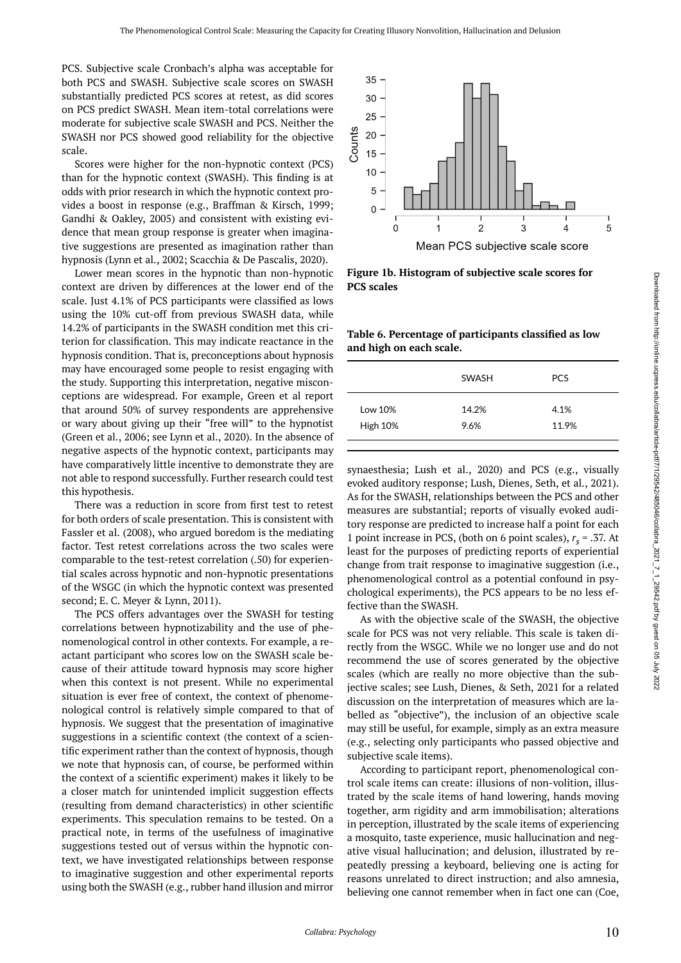PCS. Subjective scale Cronbach's alpha was acceptable for both PCS and SWASH. Subjective scale scores on SWASH substantially predicted PCS scores at retest, as did scores on PCS predict SWASH. Mean item-total correlations were moderate for subjective scale SWASH and PCS. Neither the SWASH nor PCS showed good reliability for the objective scale.

Scores were higher for the non-hypnotic context (PCS) than for the hypnotic context (SWASH). This finding is at odds with prior research in which the hypnotic context provides a boost in response (e.g., Braffman & Kirsch, 1999; Gandhi & Oakley, 2005) and consistent with existing evidence that mean group response is greater when imaginative suggestions are presented as imagination rather than hypnosis (Lynn et al., 2002; Scacchia & De Pascalis, 2020).

<span id="page-9-0"></span>Lower mean scores in the hypnotic than non-hypnotic context are driven by differences at the lower end of the scale. Just 4.1% of PCS participants were classified as lows using the 10% cut-off from previous SWASH data, while 14.2% of participants in the SWASH condition met this criterion for classification. This may indicate reactance in the hypnosis condition. That is, preconceptions about hypnosis may have encouraged some people to resist engaging with the study. Supporting this interpretation, negative misconceptions are widespread. For example, Green et al report that around 50% of survey respondents are apprehensive or wary about giving up their "free will" to the hypnotist (Green et al., 2006; see Lynn et al., 2020). In the absence of negative aspects of the hypnotic context, participants may have comparatively little incentive to demonstrate they are not able to respond successfully. Further research could test this hypothesis.

There was a reduction in score from first test to retest for both orders of scale presentation. This is consistent with Fassler et al. (2008), who argued boredom is the mediating factor. Test retest correlations across the two scales were comparable to the test-retest correlation (.50) for experiential scales across hypnotic and non-hypnotic presentations of the WSGC (in which the hypnotic context was presented second; E. C. Meyer & Lynn, 2011).

The PCS offers advantages over the SWASH for testing correlations between hypnotizability and the use of phenomenological control in other contexts. For example, a reactant participant who scores low on the SWASH scale because of their attitude toward hypnosis may score higher when this context is not present. While no experimental situation is ever free of context, the context of phenomenological control is relatively simple compared to that of hypnosis. We suggest that the presentation of imaginative suggestions in a scientific context (the context of a scientific experiment rather than the context of hypnosis, though we note that hypnosis can, of course, be performed within the context of a scientific experiment) makes it likely to be a closer match for unintended implicit suggestion effects (resulting from demand characteristics) in other scientific experiments. This speculation remains to be tested. On a practical note, in terms of the usefulness of imaginative suggestions tested out of versus within the hypnotic context, we have investigated relationships between response to imaginative suggestion and other experimental reports using both the SWASH (e.g., rubber hand illusion and mirror



**Figure 1b. Histogram of subjective scale scores for PCS scales** 

**Table 6. Percentage of participants classified as low and high on each scale.** 

| 14.2%<br>4.1%<br>Low 10% |                 | SWASH | <b>PCS</b> |
|--------------------------|-----------------|-------|------------|
|                          | <b>High 10%</b> | 9.6%  | 11.9%      |

synaesthesia; Lush et al., 2020) and PCS (e.g., visually evoked auditory response; Lush, Dienes, Seth, et al., 2021). As for the SWASH, relationships between the PCS and other measures are substantial; reports of visually evoked auditory response are predicted to increase half a point for each 1 point increase in PCS, (both on 6 point scales),  $r_s = .37$ . At least for the purposes of predicting reports of experiential change from trait response to imaginative suggestion (i.e., phenomenological control as a potential confound in psychological experiments), the PCS appears to be no less effective than the SWASH.

As with the objective scale of the SWASH, the objective scale for PCS was not very reliable. This scale is taken directly from the WSGC. While we no longer use and do not recommend the use of scores generated by the objective scales (which are really no more objective than the subjective scales; see Lush, Dienes, & Seth, 2021 for a related discussion on the interpretation of measures which are labelled as "objective"), the inclusion of an objective scale may still be useful, for example, simply as an extra measure (e.g., selecting only participants who passed objective and subjective scale items).

According to participant report, phenomenological control scale items can create: illusions of non-volition, illustrated by the scale items of hand lowering, hands moving together, arm rigidity and arm immobilisation; alterations in perception, illustrated by the scale items of experiencing a mosquito, taste experience, music hallucination and negative visual hallucination; and delusion, illustrated by repeatedly pressing a keyboard, believing one is acting for reasons unrelated to direct instruction; and also amnesia, believing one cannot remember when in fact one can (Coe,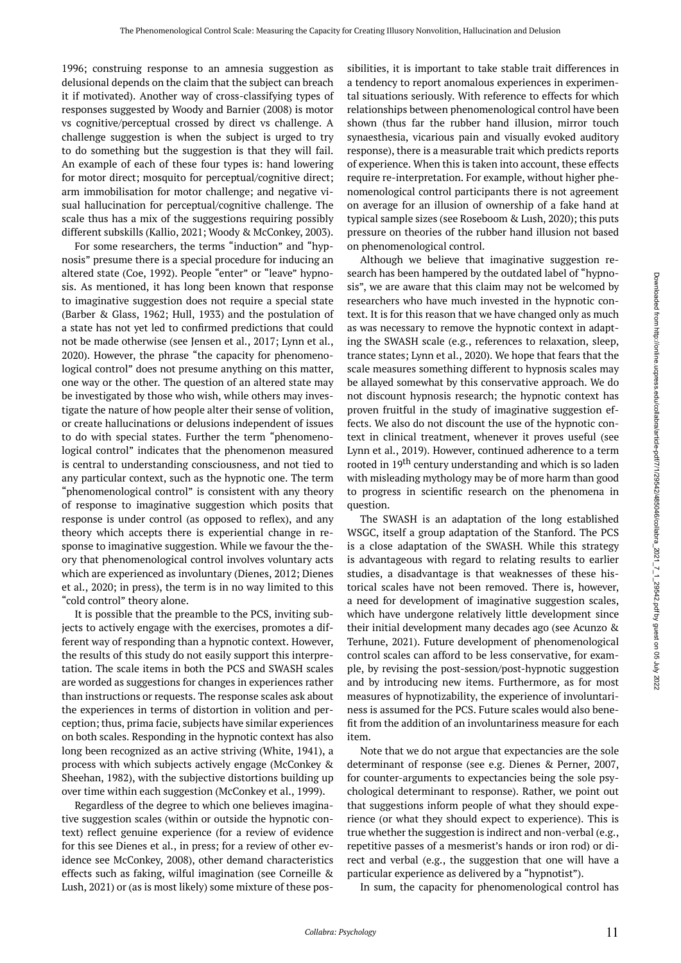1996; construing response to an amnesia suggestion as delusional depends on the claim that the subject can breach it if motivated). Another way of cross-classifying types of responses suggested by Woody and Barnier (2008) is motor vs cognitive/perceptual crossed by direct vs challenge. A challenge suggestion is when the subject is urged to try to do something but the suggestion is that they will fail. An example of each of these four types is: hand lowering for motor direct; mosquito for perceptual/cognitive direct; arm immobilisation for motor challenge; and negative visual hallucination for perceptual/cognitive challenge. The scale thus has a mix of the suggestions requiring possibly different subskills (Kallio, 2021; Woody & McConkey, 2003).

For some researchers, the terms "induction" and "hypnosis" presume there is a special procedure for inducing an altered state (Coe, 1992). People "enter" or "leave" hypnosis. As mentioned, it has long been known that response to imaginative suggestion does not require a special state (Barber & Glass, 1962; Hull, 1933) and the postulation of a state has not yet led to confirmed predictions that could not be made otherwise (see Jensen et al., 2017; Lynn et al., 2020). However, the phrase "the capacity for phenomenological control" does not presume anything on this matter, one way or the other. The question of an altered state may be investigated by those who wish, while others may investigate the nature of how people alter their sense of volition, or create hallucinations or delusions independent of issues to do with special states. Further the term "phenomenological control" indicates that the phenomenon measured is central to understanding consciousness, and not tied to any particular context, such as the hypnotic one. The term "phenomenological control" is consistent with any theory of response to imaginative suggestion which posits that response is under control (as opposed to reflex), and any theory which accepts there is experiential change in response to imaginative suggestion. While we favour the theory that phenomenological control involves voluntary acts which are experienced as involuntary (Dienes, 2012; Dienes et al., 2020; in press), the term is in no way limited to this "cold control" theory alone.

It is possible that the preamble to the PCS, inviting subjects to actively engage with the exercises, promotes a different way of responding than a hypnotic context. However, the results of this study do not easily support this interpretation. The scale items in both the PCS and SWASH scales are worded as suggestions for changes in experiences rather than instructions or requests. The response scales ask about the experiences in terms of distortion in volition and perception; thus, prima facie, subjects have similar experiences on both scales. Responding in the hypnotic context has also long been recognized as an active striving (White, 1941), a process with which subjects actively engage (McConkey & Sheehan, 1982), with the subjective distortions building up over time within each suggestion (McConkey et al., 1999).

Regardless of the degree to which one believes imaginative suggestion scales (within or outside the hypnotic context) reflect genuine experience (for a review of evidence for this see Dienes et al., in press; for a review of other evidence see McConkey, 2008), other demand characteristics effects such as faking, wilful imagination (see Corneille & Lush, 2021) or (as is most likely) some mixture of these pos-

sibilities, it is important to take stable trait differences in a tendency to report anomalous experiences in experimental situations seriously. With reference to effects for which relationships between phenomenological control have been shown (thus far the rubber hand illusion, mirror touch synaesthesia, vicarious pain and visually evoked auditory response), there is a measurable trait which predicts reports of experience. When this is taken into account, these effects require re-interpretation. For example, without higher phenomenological control participants there is not agreement on average for an illusion of ownership of a fake hand at typical sample sizes (see Roseboom & Lush, 2020); this puts pressure on theories of the rubber hand illusion not based on phenomenological control.

Although we believe that imaginative suggestion research has been hampered by the outdated label of "hypnosis", we are aware that this claim may not be welcomed by researchers who have much invested in the hypnotic context. It is for this reason that we have changed only as much as was necessary to remove the hypnotic context in adapting the SWASH scale (e.g., references to relaxation, sleep, trance states; Lynn et al., 2020). We hope that fears that the scale measures something different to hypnosis scales may be allayed somewhat by this conservative approach. We do not discount hypnosis research; the hypnotic context has proven fruitful in the study of imaginative suggestion effects. We also do not discount the use of the hypnotic context in clinical treatment, whenever it proves useful (see Lynn et al., 2019). However, continued adherence to a term rooted in 19<sup>th</sup> century understanding and which is so laden with misleading mythology may be of more harm than good to progress in scientific research on the phenomena in question.

The SWASH is an adaptation of the long established WSGC, itself a group adaptation of the Stanford. The PCS is a close adaptation of the SWASH. While this strategy is advantageous with regard to relating results to earlier studies, a disadvantage is that weaknesses of these historical scales have not been removed. There is, however, a need for development of imaginative suggestion scales, which have undergone relatively little development since their initial development many decades ago (see Acunzo & Terhune, 2021). Future development of phenomenological control scales can afford to be less conservative, for example, by revising the post-session/post-hypnotic suggestion and by introducing new items. Furthermore, as for most measures of hypnotizability, the experience of involuntariness is assumed for the PCS. Future scales would also benefit from the addition of an involuntariness measure for each item.

Note that we do not argue that expectancies are the sole determinant of response (see e.g. Dienes & Perner, 2007, for counter-arguments to expectancies being the sole psychological determinant to response). Rather, we point out that suggestions inform people of what they should experience (or what they should expect to experience). This is true whether the suggestion is indirect and non-verbal (e.g., repetitive passes of a mesmerist's hands or iron rod) or direct and verbal (e.g., the suggestion that one will have a particular experience as delivered by a "hypnotist").

In sum, the capacity for phenomenological control has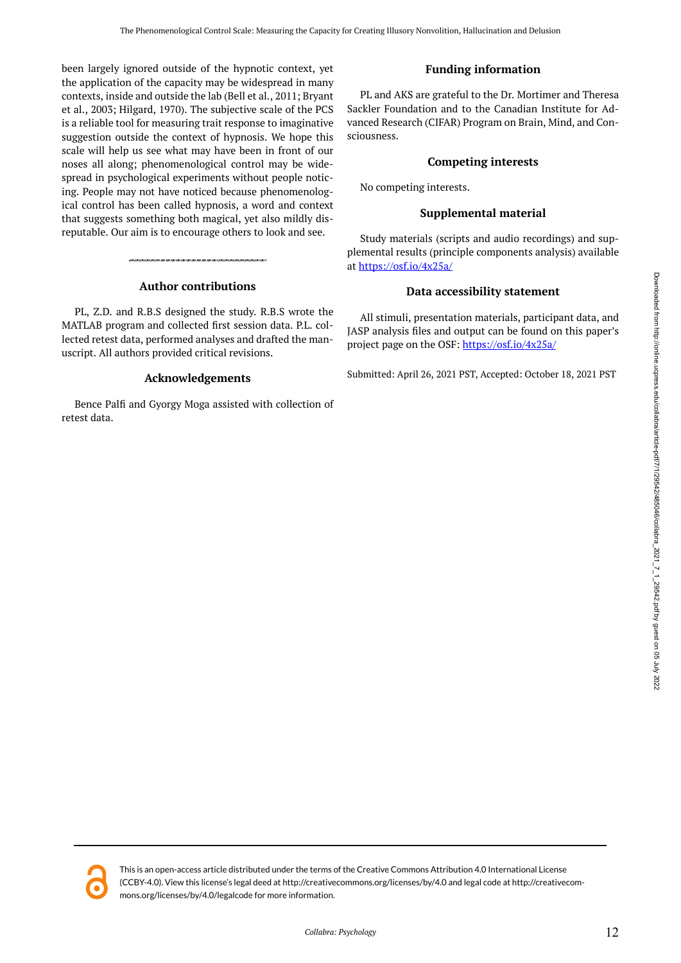been largely ignored outside of the hypnotic context, yet the application of the capacity may be widespread in many contexts, inside and outside the lab (Bell et al., 2011; Bryant et al., 2003; Hilgard, 1970). The subjective scale of the PCS is a reliable tool for measuring trait response to imaginative suggestion outside the context of hypnosis. We hope this scale will help us see what may have been in front of our noses all along; phenomenological control may be widespread in psychological experiments without people noticing. People may not have noticed because phenomenological control has been called hypnosis, a word and context that suggests something both magical, yet also mildly disreputable. Our aim is to encourage others to look and see.

# **Author contributions**

PL, Z.D. and R.B.S designed the study. R.B.S wrote the MATLAB program and collected first session data. P.L. collected retest data, performed analyses and drafted the manuscript. All authors provided critical revisions.

# **Acknowledgements**

Bence Palfi and Gyorgy Moga assisted with collection of retest data.

# **Funding information**

PL and AKS are grateful to the Dr. Mortimer and Theresa Sackler Foundation and to the Canadian Institute for Advanced Research (CIFAR) Program on Brain, Mind, and Consciousness.

# **Competing interests**

No competing interests.

# **Supplemental material**

Study materials (scripts and audio recordings) and supplemental results (principle components analysis) available at <https://osf.io/4x25a/>

# **Data accessibility statement**

All stimuli, presentation materials, participant data, and JASP analysis files and output can be found on this paper's project page on the OSF:<https://osf.io/4x25a/>

Submitted: April 26, 2021 PST, Accepted: October 18, 2021 PST

Downloaded from http://online.ucpress.edu/collabra/article-pdf/71/29542/485046/collabra\_2021\_7\_1\_29542.pdf by guest on 05 July 202: Downloaded from http://online.ucpress.edu/collabra/article-pdf/7/1/29542/485046/collabra\_2021\_1\_2/29542.pdf by guest on 05 July 2022



This is an open-access article distributed under the terms of the Creative Commons Attribution 4.0 International License (CCBY-4.0). View this license's legal deed at http://creativecommons.org/licenses/by/4.0 and legal code at http://creativecommons.org/licenses/by/4.0/legalcode for more information.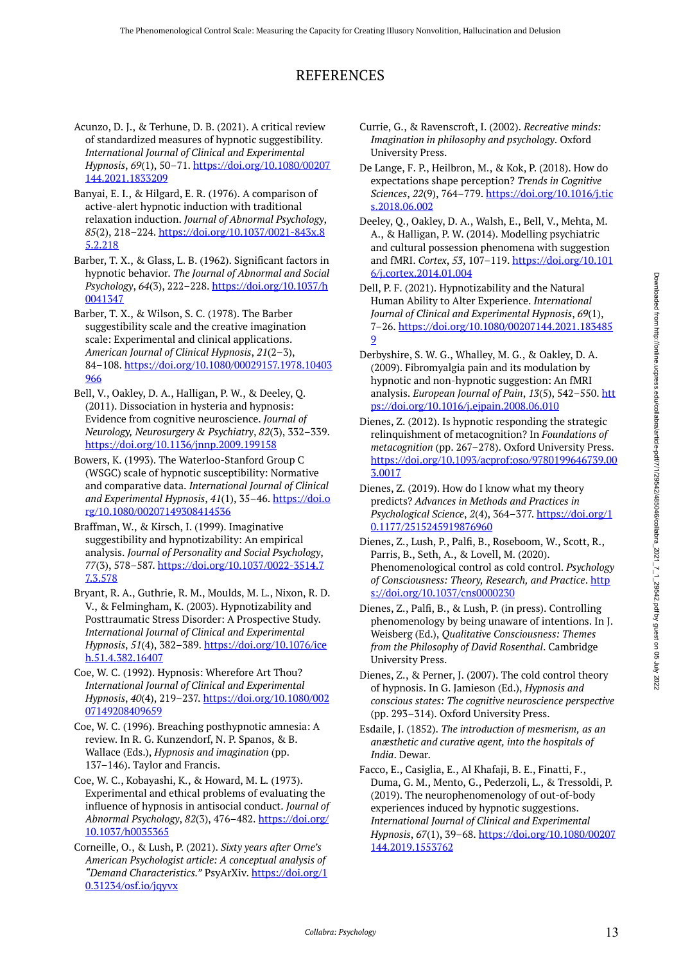# REFERENCES

- Acunzo, D. J., & Terhune, D. B. (2021). A critical review of standardized measures of hypnotic suggestibility. *International Journal of Clinical and Experimental Hypnosis*, *69*(1), 50–71. [https://doi.org/10.1080/00207](https://doi.org/10.1080/00207144.2021.1833209) [144.2021.1833209](https://doi.org/10.1080/00207144.2021.1833209)
- Banyai, E. I., & Hilgard, E. R. (1976). A comparison of active-alert hypnotic induction with traditional relaxation induction. *Journal of Abnormal Psychology*, *85*(2), 218–224. [https://doi.org/10.1037/0021-843x.8](https://doi.org/10.1037/0021-843x.85.2.218) [5.2.218](https://doi.org/10.1037/0021-843x.85.2.218)
- Barber, T. X., & Glass, L. B. (1962). Significant factors in hypnotic behavior. *The Journal of Abnormal and Social Psychology*, *64*(3), 222–228. [https://doi.org/10.1037/h](https://doi.org/10.1037/h0041347) [0041347](https://doi.org/10.1037/h0041347)
- Barber, T. X., & Wilson, S. C. (1978). The Barber suggestibility scale and the creative imagination scale: Experimental and clinical applications. *American Journal of Clinical Hypnosis*, *21*(2–3), 84–108. [https://doi.org/10.1080/00029157.1978.10403](https://doi.org/10.1080/00029157.1978.10403966) [966](https://doi.org/10.1080/00029157.1978.10403966)
- Bell, V., Oakley, D. A., Halligan, P. W., & Deeley, Q. (2011). Dissociation in hysteria and hypnosis: Evidence from cognitive neuroscience. *Journal of Neurology, Neurosurgery & Psychiatry*, *82*(3), 332–339. <https://doi.org/10.1136/jnnp.2009.199158>
- Bowers, K. (1993). The Waterloo-Stanford Group C (WSGC) scale of hypnotic susceptibility: Normative and comparative data. *International Journal of Clinical and Experimental Hypnosis*, *41*(1), 35–46. [https://doi.o](https://doi.org/10.1080/00207149308414536) [rg/10.1080/00207149308414536](https://doi.org/10.1080/00207149308414536)
- Braffman, W., & Kirsch, I. (1999). Imaginative suggestibility and hypnotizability: An empirical analysis. *Journal of Personality and Social Psychology*, *77*(3), 578–587. [https://doi.org/10.1037/0022-3514.7](https://doi.org/10.1037/0022-3514.77.3.578) [7.3.578](https://doi.org/10.1037/0022-3514.77.3.578)
- Bryant, R. A., Guthrie, R. M., Moulds, M. L., Nixon, R. D. V., & Felmingham, K. (2003). Hypnotizability and Posttraumatic Stress Disorder: A Prospective Study. *International Journal of Clinical and Experimental Hypnosis*, *51*(4), 382–389. [https://doi.org/10.1076/ice](https://doi.org/10.1076/iceh.51.4.382.16407) [h.51.4.382.16407](https://doi.org/10.1076/iceh.51.4.382.16407)
- Coe, W. C. (1992). Hypnosis: Wherefore Art Thou? *International Journal of Clinical and Experimental Hypnosis*, *40*(4), 219–237. [https://doi.org/10.1080/002](https://doi.org/10.1080/00207149208409659) [07149208409659](https://doi.org/10.1080/00207149208409659)
- Coe, W. C. (1996). Breaching posthypnotic amnesia: A review. In R. G. Kunzendorf, N. P. Spanos, & B. Wallace (Eds.), *Hypnosis and imagination* (pp. 137–146). Taylor and Francis.
- Coe, W. C., Kobayashi, K., & Howard, M. L. (1973). Experimental and ethical problems of evaluating the influence of hypnosis in antisocial conduct. *Journal of Abnormal Psychology*, *82*(3), 476–482. [https://doi.org/](https://doi.org/10.1037/h0035365) [10.1037/h0035365](https://doi.org/10.1037/h0035365)
- Corneille, O., & Lush, P. (2021). *Sixty years after Orne's American Psychologist article: A conceptual analysis of "Demand Characteristics."* PsyArXiv. [https://doi.org/1](https://doi.org/10.31234/osf.io/jqyvx) [0.31234/osf.io/jqyvx](https://doi.org/10.31234/osf.io/jqyvx)
- Currie, G., & Ravenscroft, I. (2002). *Recreative minds: Imagination in philosophy and psychology*. Oxford University Press.
- De Lange, F. P., Heilbron, M., & Kok, P. (2018). How do expectations shape perception? *Trends in Cognitive Sciences*, *22*(9), 764–779. [https://doi.org/10.1016/j.tic](https://doi.org/10.1016/j.tics.2018.06.002) [s.2018.06.002](https://doi.org/10.1016/j.tics.2018.06.002)
- Deeley, Q., Oakley, D. A., Walsh, E., Bell, V., Mehta, M. A., & Halligan, P. W. (2014). Modelling psychiatric and cultural possession phenomena with suggestion and fMRI. *Cortex*, *53*, 107–119. [https://doi.org/10.101](https://doi.org/10.1016/j.cortex.2014.01.004) [6/j.cortex.2014.01.004](https://doi.org/10.1016/j.cortex.2014.01.004)
- Dell, P. F. (2021). Hypnotizability and the Natural Human Ability to Alter Experience. *International Journal of Clinical and Experimental Hypnosis*, *69*(1), 7–26. [https://doi.org/10.1080/00207144.2021.183485](https://doi.org/10.1080/00207144.2021.1834859) [9](https://doi.org/10.1080/00207144.2021.1834859)
- Derbyshire, S. W. G., Whalley, M. G., & Oakley, D. A. (2009). Fibromyalgia pain and its modulation by hypnotic and non-hypnotic suggestion: An fMRI analysis. *European Journal of Pain*, *13*(5), 542–550. [htt](https://doi.org/10.1016/j.ejpain.2008.06.010) [ps://doi.org/10.1016/j.ejpain.2008.06.010](https://doi.org/10.1016/j.ejpain.2008.06.010)
- Dienes, Z. (2012). Is hypnotic responding the strategic relinquishment of metacognition? In *Foundations of metacognition* (pp. 267–278). Oxford University Press. [https://doi.org/10.1093/acprof:oso/9780199646739.00](https://doi.org/10.1093/acprof:oso/9780199646739.003.0017) [3.0017](https://doi.org/10.1093/acprof:oso/9780199646739.003.0017)
- Dienes, Z. (2019). How do I know what my theory predicts? *Advances in Methods and Practices in Psychological Science*, *2*(4), 364–377. [https://doi.org/1](https://doi.org/10.1177/2515245919876960) [0.1177/2515245919876960](https://doi.org/10.1177/2515245919876960)
- Dienes, Z., Lush, P., Palfi, B., Roseboom, W., Scott, R., Parris, B., Seth, A., & Lovell, M. (2020). Phenomenological control as cold control. *Psychology*  of Consciousness: Theory, Research, and Practice. [http](https://doi.org/10.1037/cns0000230) [s://doi.org/10.1037/cns0000230](https://doi.org/10.1037/cns0000230)
- Dienes, Z., Palfi, B., & Lush, P. (in press). Controlling phenomenology by being unaware of intentions. In J. Weisberg (Ed.), *Qualitative Consciousness: Themes from the Philosophy of David Rosenthal*. Cambridge University Press.
- Dienes, Z., & Perner, J. (2007). The cold control theory of hypnosis. In G. Jamieson (Ed.), *Hypnosis and conscious states: The cognitive neuroscience perspective*  (pp. 293–314). Oxford University Press.
- Esdaile, J. (1852). *The introduction of mesmerism, as an anæsthetic and curative agent, into the hospitals of India*. Dewar.
- Facco, E., Casiglia, E., Al Khafaji, B. E., Finatti, F., Duma, G. M., Mento, G., Pederzoli, L., & Tressoldi, P. (2019). The neurophenomenology of out-of-body experiences induced by hypnotic suggestions. *International Journal of Clinical and Experimental Hypnosis*, *67*(1), 39–68. [https://doi.org/10.1080/00207](https://doi.org/10.1080/00207144.2019.1553762) [144.2019.1553762](https://doi.org/10.1080/00207144.2019.1553762)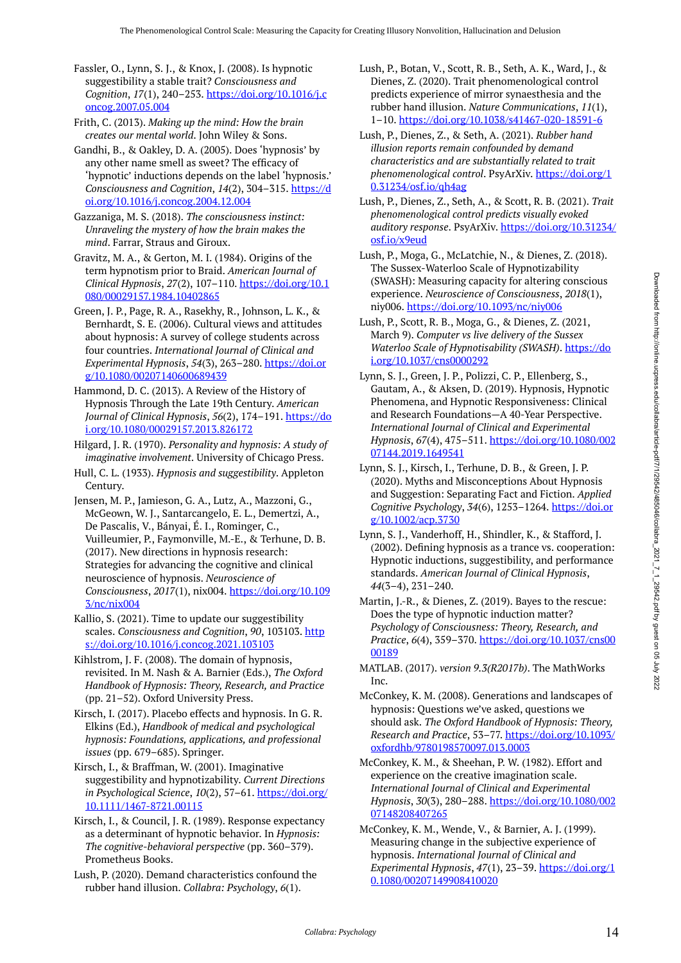Fassler, O., Lynn, S. J., & Knox, J. (2008). Is hypnotic suggestibility a stable trait? *Consciousness and Cognition*, *17*(1), 240–253. [https://doi.org/10.1016/j.c](https://doi.org/10.1016/j.concog.2007.05.004) [oncog.2007.05.004](https://doi.org/10.1016/j.concog.2007.05.004)

Frith, C. (2013). *Making up the mind: How the brain creates our mental world*. John Wiley & Sons.

Gandhi, B., & Oakley, D. A. (2005). Does 'hypnosis' by any other name smell as sweet? The efficacy of 'hypnotic' inductions depends on the label 'hypnosis.' *Consciousness and Cognition*, *14*(2), 304–315. [https://d](https://doi.org/10.1016/j.concog.2004.12.004) [oi.org/10.1016/j.concog.2004.12.004](https://doi.org/10.1016/j.concog.2004.12.004)

Gazzaniga, M. S. (2018). *The consciousness instinct: Unraveling the mystery of how the brain makes the mind*. Farrar, Straus and Giroux.

Gravitz, M. A., & Gerton, M. I. (1984). Origins of the term hypnotism prior to Braid. *American Journal of Clinical Hypnosis*, *27*(2), 107–110. [https://doi.org/10.1](https://doi.org/10.1080/00029157.1984.10402865) [080/00029157.1984.10402865](https://doi.org/10.1080/00029157.1984.10402865)

Green, J. P., Page, R. A., Rasekhy, R., Johnson, L. K., & Bernhardt, S. E. (2006). Cultural views and attitudes about hypnosis: A survey of college students across four countries. *International Journal of Clinical and Experimental Hypnosis*, *54*(3), 263–280. [https://doi.or](https://doi.org/10.1080/00207140600689439) [g/10.1080/00207140600689439](https://doi.org/10.1080/00207140600689439)

Hammond, D. C. (2013). A Review of the History of Hypnosis Through the Late 19th Century. *American Journal of Clinical Hypnosis*, *56*(2), 174–191. [https://do](https://doi.org/10.1080/00029157.2013.826172) [i.org/10.1080/00029157.2013.826172](https://doi.org/10.1080/00029157.2013.826172) 

Hilgard, J. R. (1970). *Personality and hypnosis: A study of imaginative involvement*. University of Chicago Press.

Hull, C. L. (1933). *Hypnosis and suggestibility*. Appleton Century.

Jensen, M. P., Jamieson, G. A., Lutz, A., Mazzoni, G., McGeown, W. J., Santarcangelo, E. L., Demertzi, A., De Pascalis, V., Bányai, É. I., Rominger, C., Vuilleumier, P., Faymonville, M.-E., & Terhune, D. B. (2017). New directions in hypnosis research: Strategies for advancing the cognitive and clinical neuroscience of hypnosis. *Neuroscience of Consciousness*, *2017*(1), nix004. [https://doi.org/10.109](https://doi.org/10.1093/nc/nix004) [3/nc/nix004](https://doi.org/10.1093/nc/nix004)

Kallio, S. (2021). Time to update our suggestibility scales. *Consciousness and Cognition*, 90, 103103. [http](https://doi.org/10.1016/j.concog.2021.103103) [s://doi.org/10.1016/j.concog.2021.103103](https://doi.org/10.1016/j.concog.2021.103103) 

Kihlstrom, J. F. (2008). The domain of hypnosis, revisited. In M. Nash & A. Barnier (Eds.), *The Oxford Handbook of Hypnosis: Theory, Research, and Practice*  (pp. 21–52). Oxford University Press.

Kirsch, I. (2017). Placebo effects and hypnosis. In G. R. Elkins (Ed.), *Handbook of medical and psychological hypnosis: Foundations, applications, and professional issues* (pp. 679–685). Springer.

Kirsch, I., & Braffman, W. (2001). Imaginative suggestibility and hypnotizability. *Current Directions in Psychological Science*, *10*(2), 57–61. [https://doi.org/](https://doi.org/10.1111/1467-8721.00115) [10.1111/1467-8721.00115](https://doi.org/10.1111/1467-8721.00115)

Kirsch, I., & Council, J. R. (1989). Response expectancy as a determinant of hypnotic behavior. In *Hypnosis: The cognitive-behavioral perspective* (pp. 360–379). Prometheus Books.

Lush, P. (2020). Demand characteristics confound the rubber hand illusion. *Collabra: Psychology*, *6*(1).

Lush, P., Botan, V., Scott, R. B., Seth, A. K., Ward, J., & Dienes, Z. (2020). Trait phenomenological control predicts experience of mirror synaesthesia and the rubber hand illusion. *Nature Communications*, *11*(1), 1–10. <https://doi.org/10.1038/s41467-020-18591-6>

Lush, P., Dienes, Z., & Seth, A. (2021). *Rubber hand illusion reports remain confounded by demand characteristics and are substantially related to trait phenomenological control*. PsyArXiv. [https://doi.org/1](https://doi.org/10.31234/osf.io/qh4ag) [0.31234/osf.io/qh4ag](https://doi.org/10.31234/osf.io/qh4ag) 

Lush, P., Dienes, Z., Seth, A., & Scott, R. B. (2021). *Trait phenomenological control predicts visually evoked auditory response*. PsyArXiv. [https://doi.org/10.31234/](https://doi.org/10.31234/osf.io/x9eud) [osf.io/x9eud](https://doi.org/10.31234/osf.io/x9eud)

Lush, P., Scott, R. B., Moga, G., & Dienes, Z. (2021, March 9). *Computer vs live delivery of the Sussex Waterloo Scale of Hypnotisability (SWASH)*. [https://do](https://doi.org/10.1037/cns0000292) [i.org/10.1037/cns0000292](https://doi.org/10.1037/cns0000292)

Lynn, S. J., Green, J. P., Polizzi, C. P., Ellenberg, S., Gautam, A., & Aksen, D. (2019). Hypnosis, Hypnotic Phenomena, and Hypnotic Responsiveness: Clinical and Research Foundations—A 40-Year Perspective. *International Journal of Clinical and Experimental Hypnosis*, *67*(4), 475–511. [https://doi.org/10.1080/002](https://doi.org/10.1080/00207144.2019.1649541) [07144.2019.1649541](https://doi.org/10.1080/00207144.2019.1649541) 

Lynn, S. J., Kirsch, I., Terhune, D. B., & Green, J. P. (2020). Myths and Misconceptions About Hypnosis and Suggestion: Separating Fact and Fiction. *Applied Cognitive Psychology*, *34*(6), 1253–1264. [https://doi.or](https://doi.org/10.1002/acp.3730) [g/10.1002/acp.3730](https://doi.org/10.1002/acp.3730) 

Lynn, S. J., Vanderhoff, H., Shindler, K., & Stafford, J. (2002). Defining hypnosis as a trance vs. cooperation: Hypnotic inductions, suggestibility, and performance standards. *American Journal of Clinical Hypnosis*, *44*(3–4), 231–240.

Martin, J.-R., & Dienes, Z. (2019). Bayes to the rescue: Does the type of hypnotic induction matter? *Psychology of Consciousness: Theory, Research, and Practice*, *6*(4), 359–370. [https://doi.org/10.1037/cns00](https://doi.org/10.1037/cns0000189) [00189](https://doi.org/10.1037/cns0000189)

MATLAB. (2017). *version 9.3(R2017b)*. The MathWorks Inc.

McConkey, K. M. (2008). Generations and landscapes of hypnosis: Questions we've asked, questions we should ask. *The Oxford Handbook of Hypnosis: Theory, Research and Practice*, 53–77. [https://doi.org/10.1093/](https://doi.org/10.1093/oxfordhb/9780198570097.013.0003) [oxfordhb/9780198570097.013.0003](https://doi.org/10.1093/oxfordhb/9780198570097.013.0003)

McConkey, K. M., & Sheehan, P. W. (1982). Effort and experience on the creative imagination scale. *International Journal of Clinical and Experimental Hypnosis*, *30*(3), 280–288. [https://doi.org/10.1080/002](https://doi.org/10.1080/00207148208407265) [07148208407265](https://doi.org/10.1080/00207148208407265)

McConkey, K. M., Wende, V., & Barnier, A. J. (1999). Measuring change in the subjective experience of hypnosis. *International Journal of Clinical and Experimental Hypnosis*, *47*(1), 23–39. [https://doi.org/1](https://doi.org/10.1080/00207149908410020) [0.1080/00207149908410020](https://doi.org/10.1080/00207149908410020)

Lush, P., Moga, G., McLatchie, N., & Dienes, Z. (2018). The Sussex-Waterloo Scale of Hypnotizability (SWASH): Measuring capacity for altering conscious experience. *Neuroscience of Consciousness*, *2018*(1), niy006. <https://doi.org/10.1093/nc/niy006>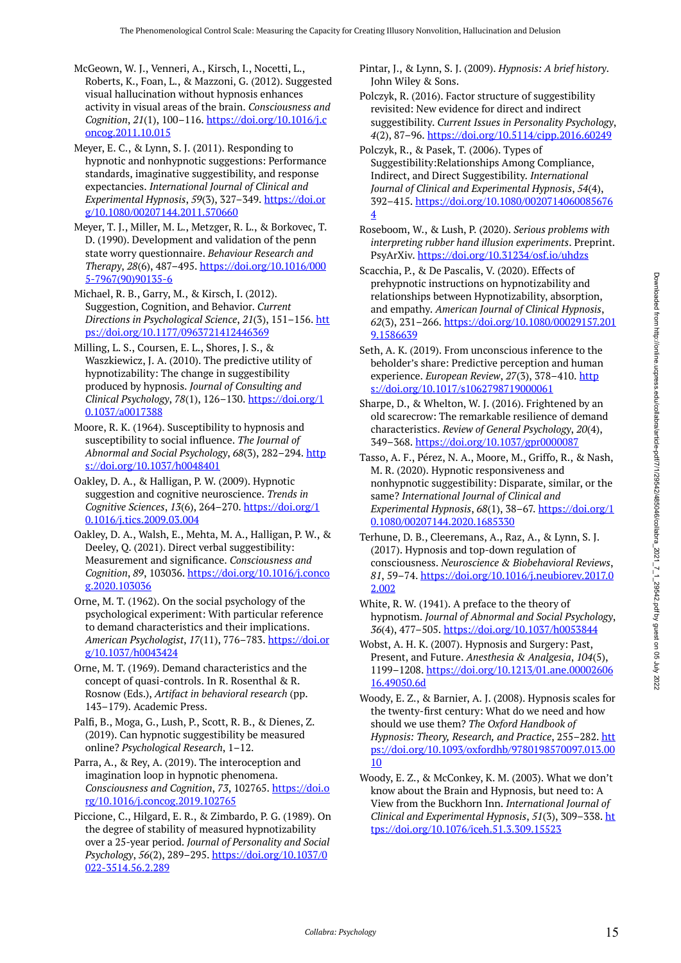McGeown, W. J., Venneri, A., Kirsch, I., Nocetti, L., Roberts, K., Foan, L., & Mazzoni, G. (2012). Suggested visual hallucination without hypnosis enhances activity in visual areas of the brain. *Consciousness and Cognition*, *21*(1), 100–116. [https://doi.org/10.1016/j.c](https://doi.org/10.1016/j.concog.2011.10.015) [oncog.2011.10.015](https://doi.org/10.1016/j.concog.2011.10.015)

Meyer, E. C., & Lynn, S. J. (2011). Responding to hypnotic and nonhypnotic suggestions: Performance standards, imaginative suggestibility, and response expectancies. *International Journal of Clinical and Experimental Hypnosis*, *59*(3), 327–349. [https://doi.or](https://doi.org/10.1080/00207144.2011.570660) [g/10.1080/00207144.2011.570660](https://doi.org/10.1080/00207144.2011.570660)

Meyer, T. J., Miller, M. L., Metzger, R. L., & Borkovec, T. D. (1990). Development and validation of the penn state worry questionnaire. *Behaviour Research and Therapy*, *28*(6), 487–495. [https://doi.org/10.1016/000](https://doi.org/10.1016/0005-7967(90)90135-6) [5-7967\(90\)90135-6](https://doi.org/10.1016/0005-7967(90)90135-6) 

Michael, R. B., Garry, M., & Kirsch, I. (2012). Suggestion, Cognition, and Behavior. *Current Directions in Psychological Science*, *21*(3), 151–156. [htt](https://doi.org/10.1177/0963721412446369) [ps://doi.org/10.1177/0963721412446369](https://doi.org/10.1177/0963721412446369)

Milling, L. S., Coursen, E. L., Shores, J. S., & Waszkiewicz, J. A. (2010). The predictive utility of hypnotizability: The change in suggestibility produced by hypnosis. *Journal of Consulting and Clinical Psychology*, *78*(1), 126–130. [https://doi.org/1](https://doi.org/10.1037/a0017388) [0.1037/a0017388](https://doi.org/10.1037/a0017388)

Moore, R. K. (1964). Susceptibility to hypnosis and susceptibility to social influence. *The Journal of Abnormal and Social Psychology, 68(3), 282-294.* [http](https://doi.org/10.1037/h0048401) [s://doi.org/10.1037/h0048401](https://doi.org/10.1037/h0048401)

Oakley, D. A., & Halligan, P. W. (2009). Hypnotic suggestion and cognitive neuroscience. *Trends in Cognitive Sciences*, *13*(6), 264–270. [https://doi.org/1](https://doi.org/10.1016/j.tics.2009.03.004) [0.1016/j.tics.2009.03.004](https://doi.org/10.1016/j.tics.2009.03.004)

Oakley, D. A., Walsh, E., Mehta, M. A., Halligan, P. W., & Deeley, Q. (2021). Direct verbal suggestibility: Measurement and significance. *Consciousness and Cognition*, *89*, 103036. [https://doi.org/10.1016/j.conco](https://doi.org/10.1016/j.concog.2020.103036) [g.2020.103036](https://doi.org/10.1016/j.concog.2020.103036)

Orne, M. T. (1962). On the social psychology of the psychological experiment: With particular reference to demand characteristics and their implications. *American Psychologist*, *17*(11), 776–783. [https://doi.or](https://doi.org/10.1037/h0043424) [g/10.1037/h0043424](https://doi.org/10.1037/h0043424) 

Orne, M. T. (1969). Demand characteristics and the concept of quasi-controls. In R. Rosenthal & R. Rosnow (Eds.), *Artifact in behavioral research* (pp. 143–179). Academic Press.

Palfi, B., Moga, G., Lush, P., Scott, R. B., & Dienes, Z. (2019). Can hypnotic suggestibility be measured online? *Psychological Research*, 1–12.

Parra, A., & Rey, A. (2019). The interoception and imagination loop in hypnotic phenomena. *Consciousness and Cognition*, *73*, 102765. [https://doi.o](https://doi.org/10.1016/j.concog.2019.102765) [rg/10.1016/j.concog.2019.102765](https://doi.org/10.1016/j.concog.2019.102765)

Piccione, C., Hilgard, E. R., & Zimbardo, P. G. (1989). On the degree of stability of measured hypnotizability over a 25-year period. *Journal of Personality and Social Psychology*, *56*(2), 289–295. [https://doi.org/10.1037/0](https://doi.org/10.1037/0022-3514.56.2.289) [022-3514.56.2.289](https://doi.org/10.1037/0022-3514.56.2.289)

Pintar, J., & Lynn, S. J. (2009). *Hypnosis: A brief history*. John Wiley & Sons.

- Polczyk, R. (2016). Factor structure of suggestibility revisited: New evidence for direct and indirect suggestibility. *Current Issues in Personality Psychology*, *4*(2), 87–96. <https://doi.org/10.5114/cipp.2016.60249>
- Polczyk, R., & Pasek, T. (2006). Types of Suggestibility:Relationships Among Compliance, Indirect, and Direct Suggestibility. *International Journal of Clinical and Experimental Hypnosis*, *54*(4), 392–415. [https://doi.org/10.1080/0020714060085676](https://doi.org/10.1080/00207140600856764) [4](https://doi.org/10.1080/00207140600856764)
- Roseboom, W., & Lush, P. (2020). *Serious problems with interpreting rubber hand illusion experiments*. Preprint. PsyArXiv.<https://doi.org/10.31234/osf.io/uhdzs>
- Scacchia, P., & De Pascalis, V. (2020). Effects of prehypnotic instructions on hypnotizability and relationships between Hypnotizability, absorption, and empathy. *American Journal of Clinical Hypnosis*, *62*(3), 231–266. [https://doi.org/10.1080/00029157.201](https://doi.org/10.1080/00029157.2019.1586639) [9.1586639](https://doi.org/10.1080/00029157.2019.1586639)
- Seth, A. K. (2019). From unconscious inference to the beholder's share: Predictive perception and human experience. *European Review*, *27*(3), 378–410. [http](https://doi.org/10.1017/s1062798719000061) [s://doi.org/10.1017/s1062798719000061](https://doi.org/10.1017/s1062798719000061)

Sharpe, D., & Whelton, W. J. (2016). Frightened by an old scarecrow: The remarkable resilience of demand characteristics. *Review of General Psychology*, *20*(4), 349–368.<https://doi.org/10.1037/gpr0000087>

Tasso, A. F., Pérez, N. A., Moore, M., Griffo, R., & Nash, M. R. (2020). Hypnotic responsiveness and nonhypnotic suggestibility: Disparate, similar, or the same? *International Journal of Clinical and Experimental Hypnosis*, *68*(1), 38–67. [https://doi.org/1](https://doi.org/10.1080/00207144.2020.1685330) [0.1080/00207144.2020.1685330](https://doi.org/10.1080/00207144.2020.1685330) 

- Terhune, D. B., Cleeremans, A., Raz, A., & Lynn, S. J. (2017). Hypnosis and top-down regulation of consciousness. *Neuroscience & Biobehavioral Reviews*, *81*, 59–74. [https://doi.org/10.1016/j.neubiorev.2017.0](https://doi.org/10.1016/j.neubiorev.2017.02.002) [2.002](https://doi.org/10.1016/j.neubiorev.2017.02.002)
- White, R. W. (1941). A preface to the theory of hypnotism. *Journal of Abnormal and Social Psychology*, *36*(4), 477–505. <https://doi.org/10.1037/h0053844>
- Wobst, A. H. K. (2007). Hypnosis and Surgery: Past, Present, and Future. *Anesthesia & Analgesia*, *104*(5), 1199–1208. [https://doi.org/10.1213/01.ane.00002606](https://doi.org/10.1213/01.ane.0000260616.49050.6d) [16.49050.6d](https://doi.org/10.1213/01.ane.0000260616.49050.6d)

Woody, E. Z., & Barnier, A. J. (2008). Hypnosis scales for the twenty-first century: What do we need and how should we use them? *The Oxford Handbook of Hypnosis: Theory, Research, and Practice, 255-282. [htt](https://doi.org/10.1093/oxfordhb/9780198570097.013.0010)* [ps://doi.org/10.1093/oxfordhb/9780198570097.013.00](https://doi.org/10.1093/oxfordhb/9780198570097.013.0010) [10](https://doi.org/10.1093/oxfordhb/9780198570097.013.0010) 

Woody, E. Z., & McConkey, K. M. (2003). What we don't know about the Brain and Hypnosis, but need to: A View from the Buckhorn Inn. *International Journal of Clinical and Experimental Hypnosis*, *51*(3), 309–338. [ht](https://doi.org/10.1076/iceh.51.3.309.15523) [tps://doi.org/10.1076/iceh.51.3.309.15523](https://doi.org/10.1076/iceh.51.3.309.15523)